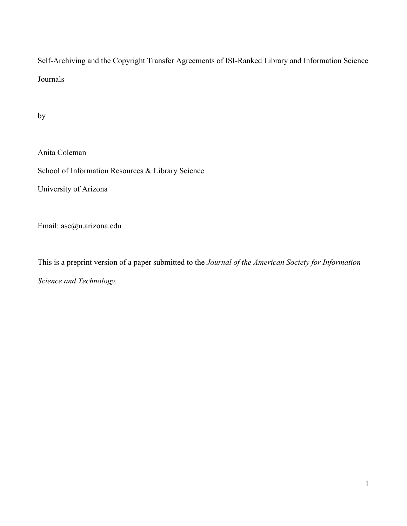Self-Archiving and the Copyright Transfer Agreements of ISI-Ranked Library and Information Science Journals

by

Anita Coleman

School of Information Resources & Library Science

University of Arizona

Email: asc@u.arizona.edu

This is a preprint version of a paper submitted to the *Journal of the American Society for Information Science and Technology.*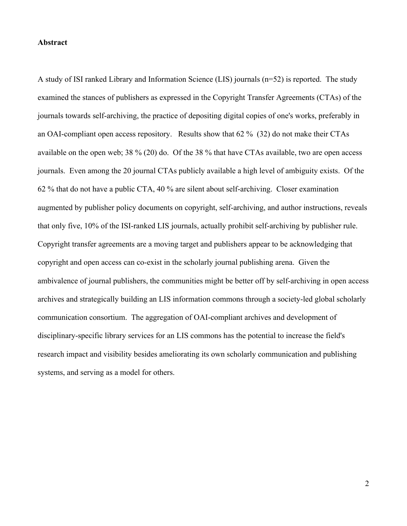## **Abstract**

A study of ISI ranked Library and Information Science (LIS) journals (n=52) is reported. The study examined the stances of publishers as expressed in the Copyright Transfer Agreements (CTAs) of the journals towards self-archiving, the practice of depositing digital copies of one's works, preferably in an OAI-compliant open access repository. Results show that 62 % (32) do not make their CTAs available on the open web; 38 % (20) do. Of the 38 % that have CTAs available, two are open access journals. Even among the 20 journal CTAs publicly available a high level of ambiguity exists. Of the 62 % that do not have a public CTA, 40 % are silent about self-archiving. Closer examination augmented by publisher policy documents on copyright, self-archiving, and author instructions, reveals that only five, 10% of the ISI-ranked LIS journals, actually prohibit self-archiving by publisher rule. Copyright transfer agreements are a moving target and publishers appear to be acknowledging that copyright and open access can co-exist in the scholarly journal publishing arena. Given the ambivalence of journal publishers, the communities might be better off by self-archiving in open access archives and strategically building an LIS information commons through a society-led global scholarly communication consortium. The aggregation of OAI-compliant archives and development of disciplinary-specific library services for an LIS commons has the potential to increase the field's research impact and visibility besides ameliorating its own scholarly communication and publishing systems, and serving as a model for others.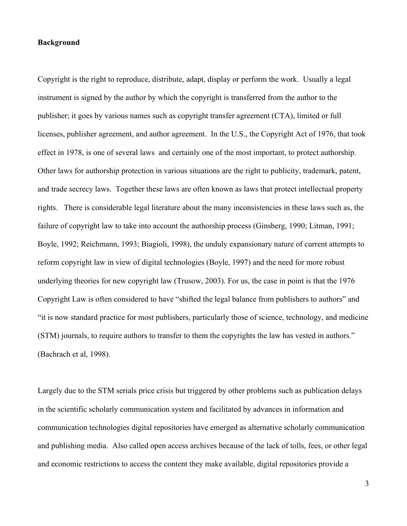## **Background**

Copyright is the right to reproduce, distribute, adapt, display or perform the work. Usually a legal instrument is signed by the author by which the copyright is transferred from the author to the publisher; it goes by various names such as copyright transfer agreement (CTA), limited or full licenses, publisher agreement, and author agreement. In the U.S., the Copyright Act of 1976, that took effect in 1978, is one of several laws and certainly one of the most important, to protect authorship. Other laws for authorship protection in various situations are the right to publicity, trademark, patent, and trade secrecy laws. Together these laws are often known as laws that protect intellectual property rights. There is considerable legal literature about the many inconsistencies in these laws such as, the failure of copyright law to take into account the authorship process (Ginsberg, 1990; Litman, 1991; Boyle, 1992; Reichmann, 1993; Biagioli, 1998), the unduly expansionary nature of current attempts to reform copyright law in view of digital technologies (Boyle, 1997) and the need for more robust underlying theories for new copyright law (Trusow, 2003). For us, the case in point is that the 1976 Copyright Law is often considered to have "shifted the legal balance from publishers to authors" and "it is now standard practice for most publishers, particularly those of science, technology, and medicine (STM) journals, to require authors to transfer to them the copyrights the law has vested in authors." (Bachrach et al, 1998).

Largely due to the STM serials price crisis but triggered by other problems such as publication delays in the scientific scholarly communication system and facilitated by advances in information and communication technologies digital repositories have emerged as alternative scholarly communication and publishing media. Also called open access archives because of the lack of tolls, fees, or other legal and economic restrictions to access the content they make available, digital repositories provide a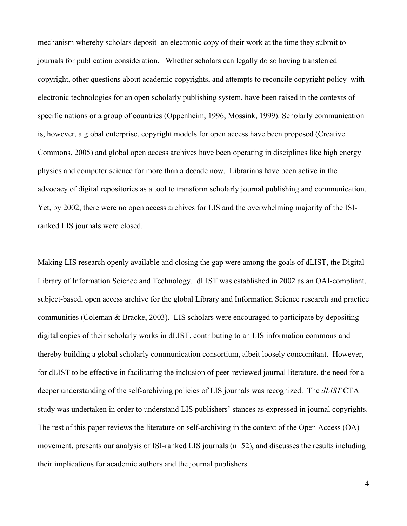mechanism whereby scholars deposit an electronic copy of their work at the time they submit to journals for publication consideration. Whether scholars can legally do so having transferred copyright, other questions about academic copyrights, and attempts to reconcile copyright policy with electronic technologies for an open scholarly publishing system, have been raised in the contexts of specific nations or a group of countries (Oppenheim, 1996, Mossink, 1999). Scholarly communication is, however, a global enterprise, copyright models for open access have been proposed (Creative Commons, 2005) and global open access archives have been operating in disciplines like high energy physics and computer science for more than a decade now. Librarians have been active in the advocacy of digital repositories as a tool to transform scholarly journal publishing and communication. Yet, by 2002, there were no open access archives for LIS and the overwhelming majority of the ISIranked LIS journals were closed.

Making LIS research openly available and closing the gap were among the goals of dLIST, the Digital Library of Information Science and Technology. dLIST was established in 2002 as an OAI-compliant, subject-based, open access archive for the global Library and Information Science research and practice communities (Coleman & Bracke, 2003). LIS scholars were encouraged to participate by depositing digital copies of their scholarly works in dLIST, contributing to an LIS information commons and thereby building a global scholarly communication consortium, albeit loosely concomitant. However, for dLIST to be effective in facilitating the inclusion of peer-reviewed journal literature, the need for a deeper understanding of the self-archiving policies of LIS journals was recognized. The *dLIST* CTA study was undertaken in order to understand LIS publishers' stances as expressed in journal copyrights. The rest of this paper reviews the literature on self-archiving in the context of the Open Access (OA) movement, presents our analysis of ISI-ranked LIS journals (n=52), and discusses the results including their implications for academic authors and the journal publishers.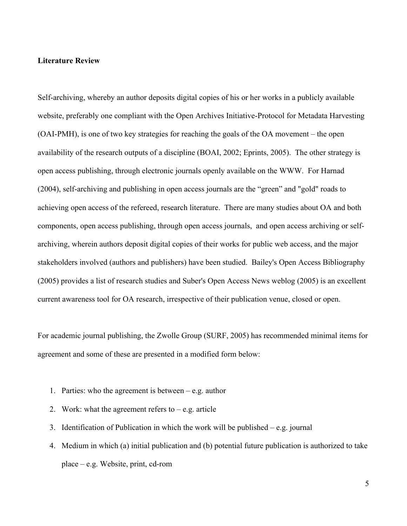## **Literature Review**

Self-archiving, whereby an author deposits digital copies of his or her works in a publicly available website, preferably one compliant with the Open Archives Initiative-Protocol for Metadata Harvesting (OAI-PMH), is one of two key strategies for reaching the goals of the OA movement – the open availability of the research outputs of a discipline (BOAI, 2002; Eprints, 2005). The other strategy is open access publishing, through electronic journals openly available on the WWW. For Harnad (2004), self-archiving and publishing in open access journals are the "green" and "gold" roads to achieving open access of the refereed, research literature. There are many studies about OA and both components, open access publishing, through open access journals, and open access archiving or selfarchiving, wherein authors deposit digital copies of their works for public web access, and the major stakeholders involved (authors and publishers) have been studied. Bailey's Open Access Bibliography (2005) provides a list of research studies and Suber's Open Access News weblog (2005) is an excellent current awareness tool for OA research, irrespective of their publication venue, closed or open.

For academic journal publishing, the Zwolle Group (SURF, 2005) has recommended minimal items for agreement and some of these are presented in a modified form below:

- 1. Parties: who the agreement is between e.g. author
- 2. Work: what the agreement refers to  $-e.g.$  article
- 3. Identification of Publication in which the work will be published e.g. journal
- 4. Medium in which (a) initial publication and (b) potential future publication is authorized to take place – e.g. Website, print, cd-rom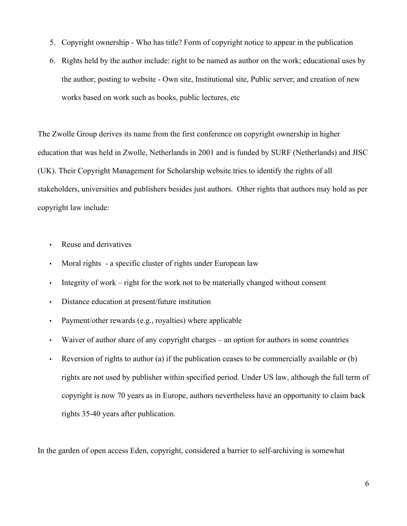- 5. Copyright ownership Who has title? Form of copyright notice to appear in the publication
- 6. Rights held by the author include: right to be named as author on the work; educational uses by the author; posting to website - Own site, Institutional site, Public server; and creation of new works based on work such as books, public lectures, etc

The Zwolle Group derives its name from the first conference on copyright ownership in higher education that was held in Zwolle, Netherlands in 2001 and is funded by SURF (Netherlands) and JISC (UK). Their Copyright Management for Scholarship website tries to identify the rights of all stakeholders, universities and publishers besides just authors. Other rights that authors may hold as per copyright law include:

- Reuse and derivatives
- Moral rights a specific cluster of rights under European law
- Integrity of work right for the work not to be materially changed without consent
- Distance education at present/future institution
- Payment/other rewards (e.g., royalties) where applicable
- Waiver of author share of any copyright charges an option for authors in some countries
- Reversion of rights to author (a) if the publication ceases to be commercially available or (b) rights are not used by publisher within specified period. Under US law, although the full term of copyright is now 70 years as in Europe, authors nevertheless have an opportunity to claim back rights 35-40 years after publication.

In the garden of open access Eden, copyright, considered a barrier to self-archiving is somewhat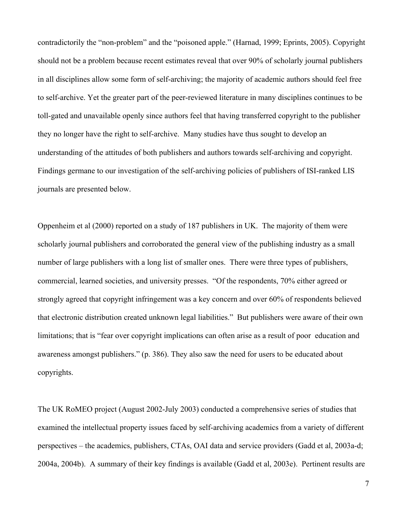contradictorily the "non-problem" and the "poisoned apple." (Harnad, 1999; Eprints, 2005). Copyright should not be a problem because recent estimates reveal that over 90% of scholarly journal publishers in all disciplines allow some form of self-archiving; the majority of academic authors should feel free to self-archive. Yet the greater part of the peer-reviewed literature in many disciplines continues to be toll-gated and unavailable openly since authors feel that having transferred copyright to the publisher they no longer have the right to self-archive. Many studies have thus sought to develop an understanding of the attitudes of both publishers and authors towards self-archiving and copyright. Findings germane to our investigation of the self-archiving policies of publishers of ISI-ranked LIS journals are presented below.

Oppenheim et al (2000) reported on a study of 187 publishers in UK. The majority of them were scholarly journal publishers and corroborated the general view of the publishing industry as a small number of large publishers with a long list of smaller ones. There were three types of publishers, commercial, learned societies, and university presses. "Of the respondents, 70% either agreed or strongly agreed that copyright infringement was a key concern and over 60% of respondents believed that electronic distribution created unknown legal liabilities." But publishers were aware of their own limitations; that is "fear over copyright implications can often arise as a result of poor education and awareness amongst publishers." (p. 386). They also saw the need for users to be educated about copyrights.

The UK RoMEO project (August 2002-July 2003) conducted a comprehensive series of studies that examined the intellectual property issues faced by self-archiving academics from a variety of different perspectives – the academics, publishers, CTAs, OAI data and service providers (Gadd et al, 2003a-d; 2004a, 2004b). A summary of their key findings is available (Gadd et al, 2003e). Pertinent results are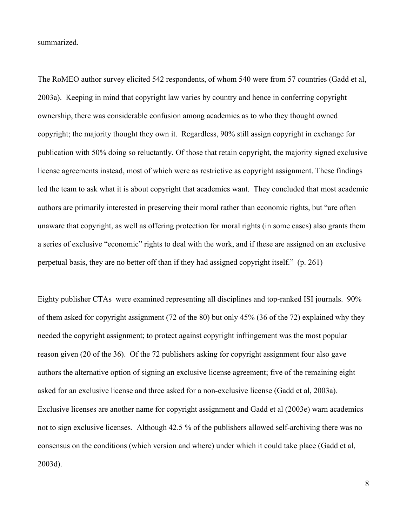summarized.

The RoMEO author survey elicited 542 respondents, of whom 540 were from 57 countries (Gadd et al, 2003a). Keeping in mind that copyright law varies by country and hence in conferring copyright ownership, there was considerable confusion among academics as to who they thought owned copyright; the majority thought they own it. Regardless, 90% still assign copyright in exchange for publication with 50% doing so reluctantly. Of those that retain copyright, the majority signed exclusive license agreements instead, most of which were as restrictive as copyright assignment. These findings led the team to ask what it is about copyright that academics want. They concluded that most academic authors are primarily interested in preserving their moral rather than economic rights, but "are often unaware that copyright, as well as offering protection for moral rights (in some cases) also grants them a series of exclusive "economic" rights to deal with the work, and if these are assigned on an exclusive perpetual basis, they are no better off than if they had assigned copyright itself." (p. 261)

Eighty publisher CTAs were examined representing all disciplines and top-ranked ISI journals. 90% of them asked for copyright assignment (72 of the 80) but only 45% (36 of the 72) explained why they needed the copyright assignment; to protect against copyright infringement was the most popular reason given (20 of the 36). Of the 72 publishers asking for copyright assignment four also gave authors the alternative option of signing an exclusive license agreement; five of the remaining eight asked for an exclusive license and three asked for a non-exclusive license (Gadd et al, 2003a). Exclusive licenses are another name for copyright assignment and Gadd et al (2003e) warn academics not to sign exclusive licenses. Although 42.5 % of the publishers allowed self-archiving there was no consensus on the conditions (which version and where) under which it could take place (Gadd et al, 2003d).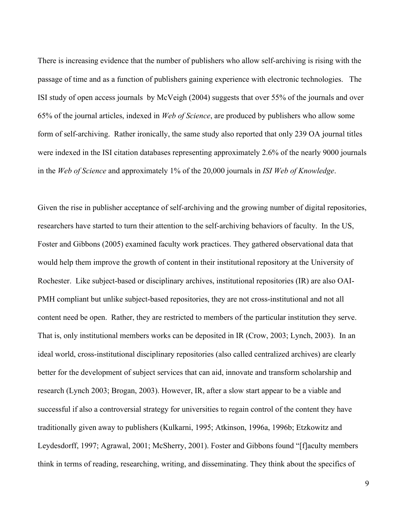There is increasing evidence that the number of publishers who allow self-archiving is rising with the passage of time and as a function of publishers gaining experience with electronic technologies. The ISI study of open access journals by McVeigh (2004) suggests that over 55% of the journals and over 65% of the journal articles, indexed in *Web of Science*, are produced by publishers who allow some form of self-archiving. Rather ironically, the same study also reported that only 239 OA journal titles were indexed in the ISI citation databases representing approximately 2.6% of the nearly 9000 journals in the *Web of Science* and approximately 1% of the 20,000 journals in *ISI Web of Knowledge*.

Given the rise in publisher acceptance of self-archiving and the growing number of digital repositories, researchers have started to turn their attention to the self-archiving behaviors of faculty. In the US, Foster and Gibbons (2005) examined faculty work practices. They gathered observational data that would help them improve the growth of content in their institutional repository at the University of Rochester. Like subject-based or disciplinary archives, institutional repositories (IR) are also OAI-PMH compliant but unlike subject-based repositories, they are not cross-institutional and not all content need be open. Rather, they are restricted to members of the particular institution they serve. That is, only institutional members works can be deposited in IR (Crow, 2003; Lynch, 2003). In an ideal world, cross-institutional disciplinary repositories (also called centralized archives) are clearly better for the development of subject services that can aid, innovate and transform scholarship and research (Lynch 2003; Brogan, 2003). However, IR, after a slow start appear to be a viable and successful if also a controversial strategy for universities to regain control of the content they have traditionally given away to publishers (Kulkarni, 1995; Atkinson, 1996a, 1996b; Etzkowitz and Leydesdorff, 1997; Agrawal, 2001; McSherry, 2001). Foster and Gibbons found "[f]aculty members think in terms of reading, researching, writing, and disseminating. They think about the specifics of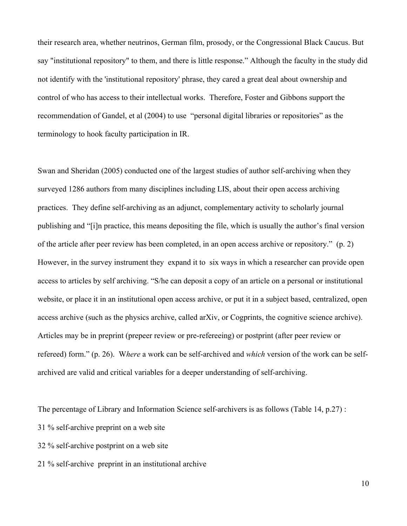their research area, whether neutrinos, German film, prosody, or the Congressional Black Caucus. But say "institutional repository" to them, and there is little response." Although the faculty in the study did not identify with the 'institutional repository' phrase, they cared a great deal about ownership and control of who has access to their intellectual works. Therefore, Foster and Gibbons support the recommendation of Gandel, et al (2004) to use "personal digital libraries or repositories" as the terminology to hook faculty participation in IR.

Swan and Sheridan (2005) conducted one of the largest studies of author self-archiving when they surveyed 1286 authors from many disciplines including LIS, about their open access archiving practices. They define self-archiving as an adjunct, complementary activity to scholarly journal publishing and "[i]n practice, this means depositing the file, which is usually the author's final version of the article after peer review has been completed, in an open access archive or repository." (p. 2) However, in the survey instrument they expand it to six ways in which a researcher can provide open access to articles by self archiving. "S/he can deposit a copy of an article on a personal or institutional website, or place it in an institutional open access archive, or put it in a subject based, centralized, open access archive (such as the physics archive, called arXiv, or Cogprints, the cognitive science archive). Articles may be in preprint (prepeer review or pre-refereeing) or postprint (after peer review or refereed) form." (p. 26). W*here* a work can be self-archived and *which* version of the work can be selfarchived are valid and critical variables for a deeper understanding of self-archiving.

The percentage of Library and Information Science self-archivers is as follows (Table 14, p.27) :

- 31 % self-archive preprint on a web site
- 32 % self-archive postprint on a web site
- 21 % self-archive preprint in an institutional archive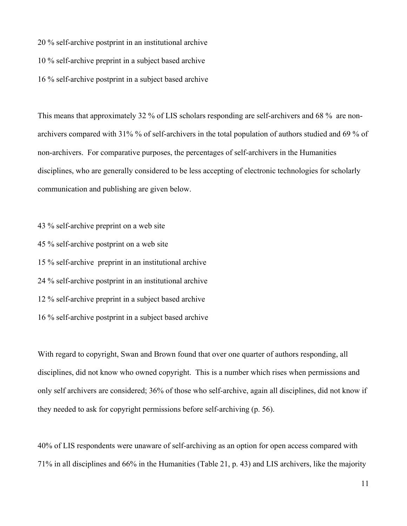20 % self-archive postprint in an institutional archive

10 % self-archive preprint in a subject based archive

16 % self-archive postprint in a subject based archive

This means that approximately 32 % of LIS scholars responding are self-archivers and 68 % are nonarchivers compared with 31% % of self-archivers in the total population of authors studied and 69 % of non-archivers. For comparative purposes, the percentages of self-archivers in the Humanities disciplines, who are generally considered to be less accepting of electronic technologies for scholarly communication and publishing are given below.

43 % self-archive preprint on a web site 45 % self-archive postprint on a web site 15 % self-archive preprint in an institutional archive 24 % self-archive postprint in an institutional archive 12 % self-archive preprint in a subject based archive 16 % self-archive postprint in a subject based archive

With regard to copyright, Swan and Brown found that over one quarter of authors responding, all disciplines, did not know who owned copyright. This is a number which rises when permissions and only self archivers are considered; 36% of those who self-archive, again all disciplines, did not know if they needed to ask for copyright permissions before self-archiving (p. 56).

40% of LIS respondents were unaware of self-archiving as an option for open access compared with 71% in all disciplines and 66% in the Humanities (Table 21, p. 43) and LIS archivers, like the majority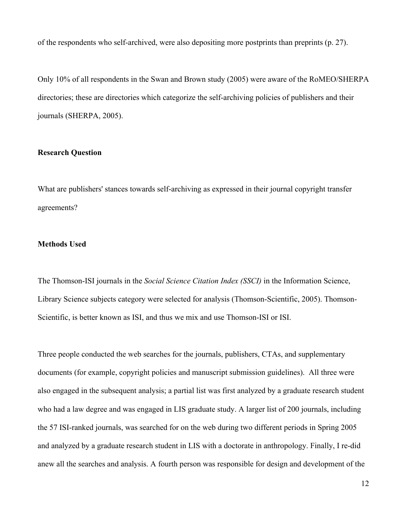of the respondents who self-archived, were also depositing more postprints than preprints (p. 27).

Only 10% of all respondents in the Swan and Brown study (2005) were aware of the RoMEO/SHERPA directories; these are directories which categorize the self-archiving policies of publishers and their journals (SHERPA, 2005).

## **Research Question**

What are publishers' stances towards self-archiving as expressed in their journal copyright transfer agreements?

## **Methods Used**

The Thomson-ISI journals in the *Social Science Citation Index (SSCI)* in the Information Science, Library Science subjects category were selected for analysis (Thomson-Scientific, 2005). Thomson-Scientific, is better known as ISI, and thus we mix and use Thomson-ISI or ISI.

Three people conducted the web searches for the journals, publishers, CTAs, and supplementary documents (for example, copyright policies and manuscript submission guidelines). All three were also engaged in the subsequent analysis; a partial list was first analyzed by a graduate research student who had a law degree and was engaged in LIS graduate study. A larger list of 200 journals, including the 57 ISI-ranked journals, was searched for on the web during two different periods in Spring 2005 and analyzed by a graduate research student in LIS with a doctorate in anthropology. Finally, I re-did anew all the searches and analysis. A fourth person was responsible for design and development of the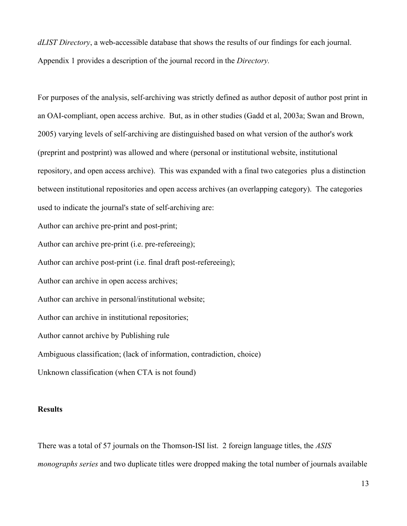*dLIST Directory*, a web-accessible database that shows the results of our findings for each journal. Appendix 1 provides a description of the journal record in the *Directory.* 

For purposes of the analysis, self-archiving was strictly defined as author deposit of author post print in an OAI-compliant, open access archive. But, as in other studies (Gadd et al, 2003a; Swan and Brown, 2005) varying levels of self-archiving are distinguished based on what version of the author's work (preprint and postprint) was allowed and where (personal or institutional website, institutional repository, and open access archive). This was expanded with a final two categories plus a distinction between institutional repositories and open access archives (an overlapping category). The categories used to indicate the journal's state of self-archiving are:

Author can archive pre-print and post-print;

Author can archive pre-print (i.e. pre-refereeing);

Author can archive post-print (i.e. final draft post-refereeing);

Author can archive in open access archives;

Author can archive in personal/institutional website;

Author can archive in institutional repositories;

Author cannot archive by Publishing rule

Ambiguous classification; (lack of information, contradiction, choice)

Unknown classification (when CTA is not found)

## **Results**

There was a total of 57 journals on the Thomson-ISI list. 2 foreign language titles, the *ASIS monographs series* and two duplicate titles were dropped making the total number of journals available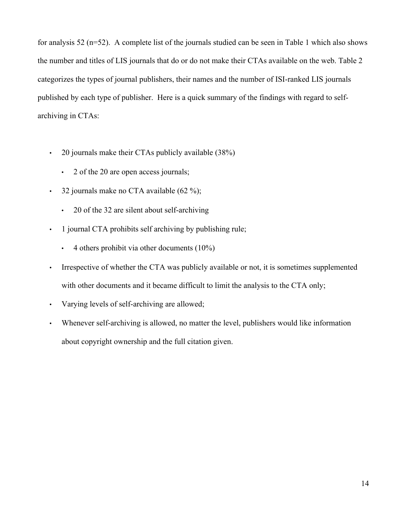for analysis 52 (n=52). A complete list of the journals studied can be seen in Table 1 which also shows the number and titles of LIS journals that do or do not make their CTAs available on the web. Table 2 categorizes the types of journal publishers, their names and the number of ISI-ranked LIS journals published by each type of publisher. Here is a quick summary of the findings with regard to selfarchiving in CTAs:

- 20 journals make their CTAs publicly available (38%)
	- 2 of the 20 are open access journals;
- 32 journals make no CTA available (62 %);
	- 20 of the 32 are silent about self-archiving
- 1 journal CTA prohibits self archiving by publishing rule;
	- $\cdot$  4 others prohibit via other documents (10%)
- Irrespective of whether the CTA was publicly available or not, it is sometimes supplemented with other documents and it became difficult to limit the analysis to the CTA only;
- Varying levels of self-archiving are allowed;
- Whenever self-archiving is allowed, no matter the level, publishers would like information about copyright ownership and the full citation given.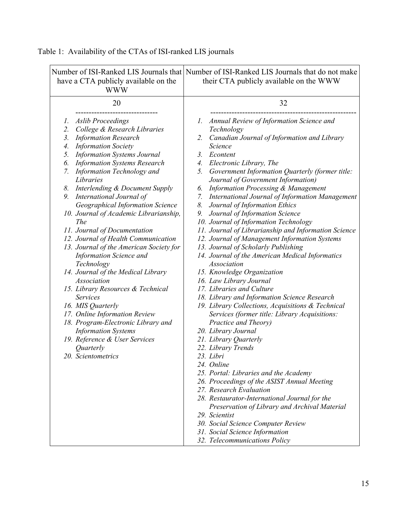| have a CTA publicly available on the<br><b>WWW</b>                                                                                                                                                                                                                                                                                                                                                                                                                                                                                                                                                                                                                                                                                                                                                                                                                                                                                             | Number of ISI-Ranked LIS Journals that Number of ISI-Ranked LIS Journals that do not make<br>their CTA publicly available on the WWW                                                                                                                                                                                                                                                                                                                                                                                                                                                                                                                                                                                                                                                                                                                                                                                                                                                                                                                                                                                                                                                                                                                                                                                              |
|------------------------------------------------------------------------------------------------------------------------------------------------------------------------------------------------------------------------------------------------------------------------------------------------------------------------------------------------------------------------------------------------------------------------------------------------------------------------------------------------------------------------------------------------------------------------------------------------------------------------------------------------------------------------------------------------------------------------------------------------------------------------------------------------------------------------------------------------------------------------------------------------------------------------------------------------|-----------------------------------------------------------------------------------------------------------------------------------------------------------------------------------------------------------------------------------------------------------------------------------------------------------------------------------------------------------------------------------------------------------------------------------------------------------------------------------------------------------------------------------------------------------------------------------------------------------------------------------------------------------------------------------------------------------------------------------------------------------------------------------------------------------------------------------------------------------------------------------------------------------------------------------------------------------------------------------------------------------------------------------------------------------------------------------------------------------------------------------------------------------------------------------------------------------------------------------------------------------------------------------------------------------------------------------|
| 20                                                                                                                                                                                                                                                                                                                                                                                                                                                                                                                                                                                                                                                                                                                                                                                                                                                                                                                                             | 32                                                                                                                                                                                                                                                                                                                                                                                                                                                                                                                                                                                                                                                                                                                                                                                                                                                                                                                                                                                                                                                                                                                                                                                                                                                                                                                                |
| <b>Aslib Proceedings</b><br>Ι.<br>College & Research Libraries<br>2.<br><b>Information Research</b><br>3.<br><b>Information Society</b><br>4.<br><b>Information Systems Journal</b><br>5.<br><b>Information Systems Research</b><br>6.<br>Information Technology and<br>7.<br>Libraries<br>Interlending & Document Supply<br>8.<br>9. International Journal of<br>Geographical Information Science<br>10. Journal of Academic Librarianship,<br><b>The</b><br>11. Journal of Documentation<br>12. Journal of Health Communication<br>13. Journal of the American Society for<br><b>Information Science and</b><br>Technology<br>14. Journal of the Medical Library<br><i>Association</i><br>15. Library Resources & Technical<br><b>Services</b><br>16. MIS Quarterly<br>17. Online Information Review<br>18. Program-Electronic Library and<br><b>Information Systems</b><br>19. Reference & User Services<br>Quarterly<br>20. Scientometrics | 1. Annual Review of Information Science and<br>Technology<br>Canadian Journal of Information and Library<br>2.<br>Science<br>3.<br>Econtent<br>4. Electronic Library, The<br>5. Government Information Quarterly (former title:<br>Journal of Government Information)<br>6. Information Processing & Management<br>7. International Journal of Information Management<br>Journal of Information Ethics<br>8.<br>Journal of Information Science<br>9.<br>10. Journal of Information Technology<br>11. Journal of Librarianship and Information Science<br>12. Journal of Management Information Systems<br>13. Journal of Scholarly Publishing<br>14. Journal of the American Medical Informatics<br><b>Association</b><br>15. Knowledge Organization<br>16. Law Library Journal<br>17. Libraries and Culture<br>18. Library and Information Science Research<br>19. Library Collections, Acquisitions & Technical<br>Services (former title: Library Acquisitions:<br>Practice and Theory)<br>20. Library Journal<br>21. Library Quarterly<br>22. Library Trends<br>23. Libri<br>24. Online<br>25. Portal: Libraries and the Academy<br>26. Proceedings of the ASIST Annual Meeting<br>27. Research Evaluation<br>28. Restaurator-International Journal for the<br>Preservation of Library and Archival Material<br>29. Scientist |
|                                                                                                                                                                                                                                                                                                                                                                                                                                                                                                                                                                                                                                                                                                                                                                                                                                                                                                                                                | 30. Social Science Computer Review<br>31. Social Science Information<br>32. Telecommunications Policy                                                                                                                                                                                                                                                                                                                                                                                                                                                                                                                                                                                                                                                                                                                                                                                                                                                                                                                                                                                                                                                                                                                                                                                                                             |

# Table 1: Availability of the CTAs of ISI-ranked LIS journals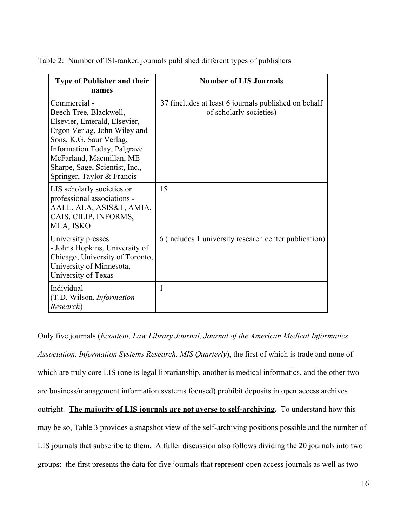|  | Table 2: Number of ISI-ranked journals published different types of publishers |  |  |  |
|--|--------------------------------------------------------------------------------|--|--|--|
|  |                                                                                |  |  |  |
|  |                                                                                |  |  |  |

| <b>Type of Publisher and their</b><br>names                                                                                                                                                                                                                  | <b>Number of LIS Journals</b>                                                   |
|--------------------------------------------------------------------------------------------------------------------------------------------------------------------------------------------------------------------------------------------------------------|---------------------------------------------------------------------------------|
| Commercial -<br>Beech Tree, Blackwell,<br>Elsevier, Emerald, Elsevier,<br>Ergon Verlag, John Wiley and<br>Sons, K.G. Saur Verlag,<br>Information Today, Palgrave<br>McFarland, Macmillan, ME<br>Sharpe, Sage, Scientist, Inc.,<br>Springer, Taylor & Francis | 37 (includes at least 6 journals published on behalf<br>of scholarly societies) |
| LIS scholarly societies or<br>professional associations -<br>AALL, ALA, ASIS&T, AMIA,<br>CAIS, CILIP, INFORMS,<br>MLA, ISKO                                                                                                                                  | 15                                                                              |
| University presses<br>- Johns Hopkins, University of<br>Chicago, University of Toronto,<br>University of Minnesota,<br>University of Texas                                                                                                                   | 6 (includes 1 university research center publication)                           |
| Individual<br>(T.D. Wilson, Information<br>Research)                                                                                                                                                                                                         | 1                                                                               |

Only five journals (*Econtent, Law Library Journal, Journal of the American Medical Informatics Association, Information Systems Research, MIS Quarterly*), the first of which is trade and none of which are truly core LIS (one is legal librarianship, another is medical informatics, and the other two are business/management information systems focused) prohibit deposits in open access archives outright. **The majority of LIS journals are not averse to self-archiving.** To understand how this may be so, Table 3 provides a snapshot view of the self-archiving positions possible and the number of LIS journals that subscribe to them. A fuller discussion also follows dividing the 20 journals into two groups: the first presents the data for five journals that represent open access journals as well as two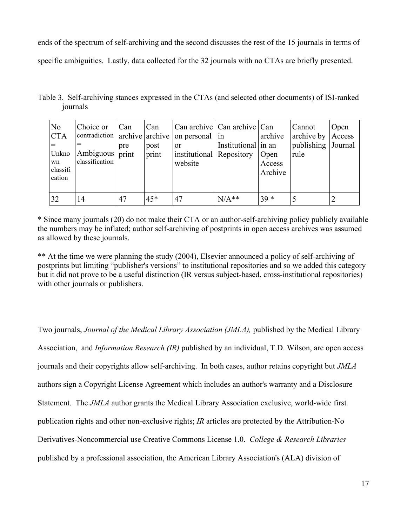ends of the spectrum of self-archiving and the second discusses the rest of the 15 journals in terms of specific ambiguities. Lastly, data collected for the 32 journals with no CTAs are briefly presented.

Table 3. Self-archiving stances expressed in the CTAs (and selected other documents) of ISI-ranked journals

| N <sub>0</sub><br> CTA<br>Unkno<br>wn<br>classifi<br>cation | Choice or<br>Ambiguous<br>classification | Can<br>pre<br>print | Can<br>post<br>print | contradiction archive archive on personal in<br><sub>or</sub><br>institutional Repository<br>website | Can archive   Can archive   Can<br>Institutional in an | archive<br>Open<br>Access<br>Archive | Cannot<br>archive by $\vert$<br>publishing Journal<br>rule | Open<br>Access |
|-------------------------------------------------------------|------------------------------------------|---------------------|----------------------|------------------------------------------------------------------------------------------------------|--------------------------------------------------------|--------------------------------------|------------------------------------------------------------|----------------|
| 32                                                          | 14                                       | 47                  | $45*$                | 47                                                                                                   | $N/A**$                                                | $39*$                                |                                                            |                |

\* Since many journals (20) do not make their CTA or an author-self-archiving policy publicly available the numbers may be inflated; author self-archiving of postprints in open access archives was assumed as allowed by these journals.

\*\* At the time we were planning the study (2004), Elsevier announced a policy of self-archiving of postprints but limiting "publisher's versions" to institutional repositories and so we added this category but it did not prove to be a useful distinction (IR versus subject-based, cross-institutional repositories) with other journals or publishers.

Two journals, *Journal of the Medical Library Association (JMLA),* published by the Medical Library Association,and *Information Research (IR)* published by an individual, T.D. Wilson, are open access journals and their copyrights allow self-archiving. In both cases, author retains copyright but *JMLA* authors sign a Copyright License Agreement which includes an author's warranty and a Disclosure Statement. The *JMLA* author grants the Medical Library Association exclusive, world-wide first publication rights and other non-exclusive rights; *IR* articles are protected by the Attribution-No Derivatives-Noncommercial use Creative Commons License 1.0. *College & Research Libraries* published by a professional association, the American Library Association's (ALA) division of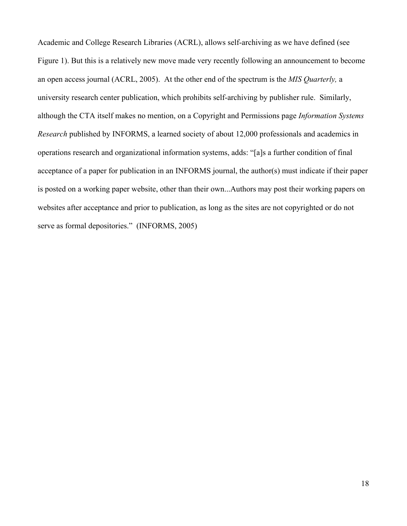Academic and College Research Libraries (ACRL), allows self-archiving as we have defined (see Figure 1). But this is a relatively new move made very recently following an announcement to become an open access journal (ACRL, 2005). At the other end of the spectrum is the *MIS Quarterly,* a university research center publication, which prohibits self-archiving by publisher rule. Similarly, although the CTA itself makes no mention, on a Copyright and Permissions page *Information Systems Research* published by INFORMS, a learned society of about 12,000 professionals and academics in operations research and organizational information systems, adds: "[a]s a further condition of final acceptance of a paper for publication in an INFORMS journal, the author(s) must indicate if their paper is posted on a working paper website, other than their own...Authors may post their working papers on websites after acceptance and prior to publication, as long as the sites are not copyrighted or do not serve as formal depositories." (INFORMS, 2005)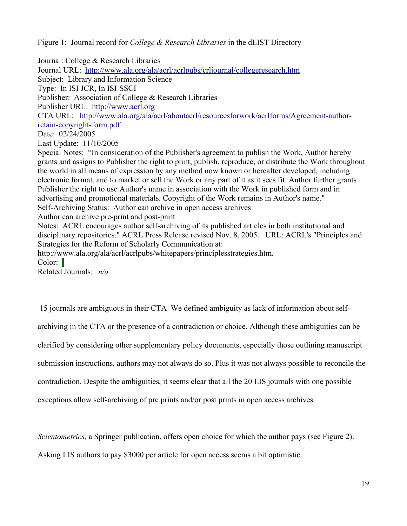Figure 1: Journal record for *College & Research Libraries* in the dLIST Directory

Journal: College & Research Libraries Journal URL: <http://www.ala.org/ala/acrl/acrlpubs/crljournal/collegeresearch.htm> Subject: Library and Information Science Type: In ISI JCR, In ISI-SSCI Publisher: Association of College & Research Libraries Publisher URL: [http://www.acrl.org](http://www.acrl.org/) CTA URL: [http://www.ala.org/ala/acrl/aboutacrl/resourcesforwork/acrlforms/Agreement-author](http://www.ala.org/ala/acrl/aboutacrl/resourcesforwork/acrlforms/Agreement-author-retain-copyright-form.pdf)[retain-copyright-form.pdf](http://www.ala.org/ala/acrl/aboutacrl/resourcesforwork/acrlforms/Agreement-author-retain-copyright-form.pdf) Date: 02/24/2005 Last Update: 11/10/2005 Special Notes: "In consideration of the Publisher's agreement to publish the Work, Author hereby grants and assigns to Publisher the right to print, publish, reproduce, or distribute the Work throughout the world in all means of expression by any method now known or hereafter developed, including electronic format, and to market or sell the Work or any part of it as it sees fit. Author further grants Publisher the right to use Author's name in association with the Work in published form and in advertising and promotional materials. Copyright of the Work remains in Author's name." Self-Archiving Status: Author can archive in open access archives Author can archive pre-print and post-print Notes: ACRL encourages author self-archiving of its published articles in both institutional and disciplinary repositories." ACRL Press Release revised Nov. 8, 2005. URL: ACRL's "Principles and Strategies for the Reform of Scholarly Communication at: http://www.ala.org/ala/acrl/acrlpubs/whitepapers/principlesstrategies.htm. Color:

Related Journals: *n/a*

15 journals are ambiguous in their CTA We defined ambiguity as lack of information about self-

archiving in the CTA or the presence of a contradiction or choice. Although these ambiguities can be

clarified by considering other supplementary policy documents, especially those outlining manuscript

submission instructions, authors may not always do so. Plus it was not always possible to reconcile the

contradiction. Despite the ambiguities, it seems clear that all the 20 LIS journals with one possible

exceptions allow self-archiving of pre prints and/or post prints in open access archives.

*Scientometrics,* a Springer publication, offers open choice for which the author pays (see Figure 2).

Asking LIS authors to pay \$3000 per article for open access seems a bit optimistic.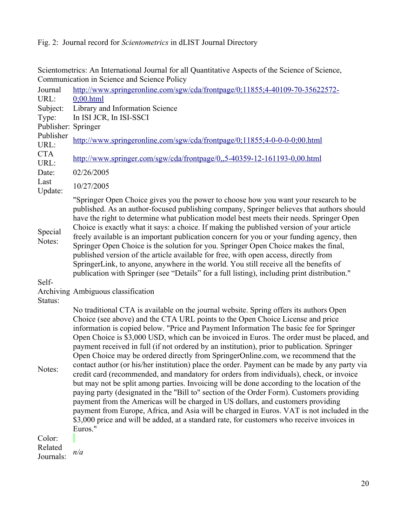# Fig. 2: Journal record for *Scientometrics* in dLIST Journal Directory

Scientometrics: An International Journal for all Quantitative Aspects of the Science of Science, Communication in Science and Science Policy

| Journal                          | http://www.springeronline.com/sgw/cda/frontpage/0;11855;4-40109-70-35622572-                                                                                                                                                                                                                                                                                                                                                                                                                                                                                                                                                                                                                                                                                                                                                                    |
|----------------------------------|-------------------------------------------------------------------------------------------------------------------------------------------------------------------------------------------------------------------------------------------------------------------------------------------------------------------------------------------------------------------------------------------------------------------------------------------------------------------------------------------------------------------------------------------------------------------------------------------------------------------------------------------------------------------------------------------------------------------------------------------------------------------------------------------------------------------------------------------------|
| URL:                             | 0;00.html                                                                                                                                                                                                                                                                                                                                                                                                                                                                                                                                                                                                                                                                                                                                                                                                                                       |
| Subject:                         | Library and Information Science                                                                                                                                                                                                                                                                                                                                                                                                                                                                                                                                                                                                                                                                                                                                                                                                                 |
| Type:                            | In ISI JCR, In ISI-SSCI                                                                                                                                                                                                                                                                                                                                                                                                                                                                                                                                                                                                                                                                                                                                                                                                                         |
| Publisher: Springer<br>Publisher |                                                                                                                                                                                                                                                                                                                                                                                                                                                                                                                                                                                                                                                                                                                                                                                                                                                 |
| URL:                             | http://www.springeronline.com/sgw/cda/frontpage/0;11855;4-0-0-0-0;00.html                                                                                                                                                                                                                                                                                                                                                                                                                                                                                                                                                                                                                                                                                                                                                                       |
| <b>CTA</b><br>URL:               | http://www.springer.com/sgw/cda/frontpage/0,,5-40359-12-161193-0,00.html                                                                                                                                                                                                                                                                                                                                                                                                                                                                                                                                                                                                                                                                                                                                                                        |
| Date:                            | 02/26/2005                                                                                                                                                                                                                                                                                                                                                                                                                                                                                                                                                                                                                                                                                                                                                                                                                                      |
| Last<br>Update:                  | 10/27/2005                                                                                                                                                                                                                                                                                                                                                                                                                                                                                                                                                                                                                                                                                                                                                                                                                                      |
| Special<br>Notes:                | "Springer Open Choice gives you the power to choose how you want your research to be<br>published. As an author-focused publishing company, Springer believes that authors should<br>have the right to determine what publication model best meets their needs. Springer Open<br>Choice is exactly what it says: a choice. If making the published version of your article<br>freely available is an important publication concern for you or your funding agency, then<br>Springer Open Choice is the solution for you. Springer Open Choice makes the final,<br>published version of the article available for free, with open access, directly from<br>SpringerLink, to anyone, anywhere in the world. You still receive all the benefits of<br>publication with Springer (see "Details" for a full listing), including print distribution." |
| Self-                            |                                                                                                                                                                                                                                                                                                                                                                                                                                                                                                                                                                                                                                                                                                                                                                                                                                                 |
|                                  | Archiving Ambiguous classification                                                                                                                                                                                                                                                                                                                                                                                                                                                                                                                                                                                                                                                                                                                                                                                                              |
| Status:                          |                                                                                                                                                                                                                                                                                                                                                                                                                                                                                                                                                                                                                                                                                                                                                                                                                                                 |
|                                  | No traditional CTA is available on the journal website. Spring offers its authors Open<br>Choice (see above) and the CTA URL points to the Open Choice License and price<br>information is copied below. "Price and Payment Information The basic fee for Springer                                                                                                                                                                                                                                                                                                                                                                                                                                                                                                                                                                              |
|                                  | Open Choice is \$3,000 USD, which can be invoiced in Euros. The order must be placed, and<br>payment received in full (if not ordered by an institution), prior to publication. Springer<br>Open Choice may be ordered directly from SpringerOnline.com, we recommend that the                                                                                                                                                                                                                                                                                                                                                                                                                                                                                                                                                                  |
| Notes:                           | contact author (or his/her institution) place the order. Payment can be made by any party via<br>credit card (recommended, and mandatory for orders from individuals), check, or invoice<br>but may not be split among parties. Invoicing will be done according to the location of the                                                                                                                                                                                                                                                                                                                                                                                                                                                                                                                                                         |
|                                  | paying party (designated in the "Bill to" section of the Order Form). Customers providing<br>payment from the Americas will be charged in US dollars, and customers providing                                                                                                                                                                                                                                                                                                                                                                                                                                                                                                                                                                                                                                                                   |

payment from Europe, Africa, and Asia will be charged in Euros. VAT is not included in the \$3,000 price and will be added, at a standard rate, for customers who receive invoices in

Color: Related

Journals: *n/a*

Euros."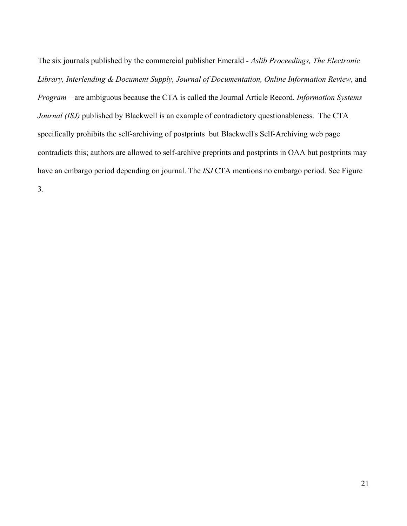The six journals published by the commercial publisher Emerald - *Aslib Proceedings, The Electronic Library, Interlending & Document Supply, Journal of Documentation, Online Information Review,* and *Program –* are ambiguous because the CTA is called the Journal Article Record. *Information Systems Journal (ISJ)* published by Blackwell is an example of contradictory questionableness. The CTA specifically prohibits the self-archiving of postprints but Blackwell's Self-Archiving web page contradicts this; authors are allowed to self-archive preprints and postprints in OAA but postprints may have an embargo period depending on journal. The *ISJ* CTA mentions no embargo period. See Figure 3.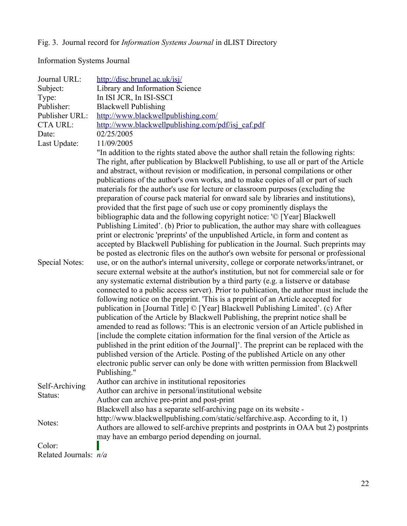# Fig. 3. Journal record for *Information Systems Journal* in dLIST Directory

Information Systems Journal

| Journal URL:              | http://disc.brunel.ac.uk/isj/                                                                                                                                                                                                                                                                                                                                                                                                                                                                                                                                                                                                                                                                                                                                                                                                                                                                                                                                                                                                                                                                                                                            |
|---------------------------|----------------------------------------------------------------------------------------------------------------------------------------------------------------------------------------------------------------------------------------------------------------------------------------------------------------------------------------------------------------------------------------------------------------------------------------------------------------------------------------------------------------------------------------------------------------------------------------------------------------------------------------------------------------------------------------------------------------------------------------------------------------------------------------------------------------------------------------------------------------------------------------------------------------------------------------------------------------------------------------------------------------------------------------------------------------------------------------------------------------------------------------------------------|
| Subject:                  | Library and Information Science                                                                                                                                                                                                                                                                                                                                                                                                                                                                                                                                                                                                                                                                                                                                                                                                                                                                                                                                                                                                                                                                                                                          |
| Type:                     | In ISI JCR, In ISI-SSCI                                                                                                                                                                                                                                                                                                                                                                                                                                                                                                                                                                                                                                                                                                                                                                                                                                                                                                                                                                                                                                                                                                                                  |
| Publisher:                | <b>Blackwell Publishing</b>                                                                                                                                                                                                                                                                                                                                                                                                                                                                                                                                                                                                                                                                                                                                                                                                                                                                                                                                                                                                                                                                                                                              |
| Publisher URL:            | http://www.blackwellpublishing.com/                                                                                                                                                                                                                                                                                                                                                                                                                                                                                                                                                                                                                                                                                                                                                                                                                                                                                                                                                                                                                                                                                                                      |
| <b>CTA URL:</b>           | http://www.blackwellpublishing.com/pdf/isj_caf.pdf                                                                                                                                                                                                                                                                                                                                                                                                                                                                                                                                                                                                                                                                                                                                                                                                                                                                                                                                                                                                                                                                                                       |
| Date:                     | 02/25/2005                                                                                                                                                                                                                                                                                                                                                                                                                                                                                                                                                                                                                                                                                                                                                                                                                                                                                                                                                                                                                                                                                                                                               |
| Last Update:              | 11/09/2005                                                                                                                                                                                                                                                                                                                                                                                                                                                                                                                                                                                                                                                                                                                                                                                                                                                                                                                                                                                                                                                                                                                                               |
| Special Notes:            | "In addition to the rights stated above the author shall retain the following rights:<br>The right, after publication by Blackwell Publishing, to use all or part of the Article<br>and abstract, without revision or modification, in personal compilations or other<br>publications of the author's own works, and to make copies of all or part of such<br>materials for the author's use for lecture or classroom purposes (excluding the<br>preparation of course pack material for onward sale by libraries and institutions),<br>provided that the first page of such use or copy prominently displays the<br>bibliographic data and the following copyright notice: '© [Year] Blackwell<br>Publishing Limited'. (b) Prior to publication, the author may share with colleagues<br>print or electronic 'preprints' of the unpublished Article, in form and content as<br>accepted by Blackwell Publishing for publication in the Journal. Such preprints may<br>be posted as electronic files on the author's own website for personal or professional<br>use, or on the author's internal university, college or corporate networks/intranet, or |
|                           | secure external website at the author's institution, but not for commercial sale or for<br>any systematic external distribution by a third party (e.g. a listserve or database<br>connected to a public access server). Prior to publication, the author must include the<br>following notice on the preprint. This is a preprint of an Article accepted for<br>publication in [Journal Title] © [Year] Blackwell Publishing Limited'. (c) After<br>publication of the Article by Blackwell Publishing, the preprint notice shall be<br>amended to read as follows: 'This is an electronic version of an Article published in<br>[include the complete citation information for the final version of the Article as<br>published in the print edition of the Journal]'. The preprint can be replaced with the<br>published version of the Article. Posting of the published Article on any other<br>electronic public server can only be done with written permission from Blackwell<br>Publishing."                                                                                                                                                     |
| Self-Archiving<br>Status: | Author can archive in institutional repositories<br>Author can archive in personal/institutional website<br>Author can archive pre-print and post-print                                                                                                                                                                                                                                                                                                                                                                                                                                                                                                                                                                                                                                                                                                                                                                                                                                                                                                                                                                                                  |
| Notes:                    | Blackwell also has a separate self-archiving page on its website -<br>http://www.blackwellpublishing.com/static/selfarchive.asp. According to it, 1)<br>Authors are allowed to self-archive preprints and postprints in OAA but 2) postprints                                                                                                                                                                                                                                                                                                                                                                                                                                                                                                                                                                                                                                                                                                                                                                                                                                                                                                            |
|                           | may have an embargo period depending on journal.                                                                                                                                                                                                                                                                                                                                                                                                                                                                                                                                                                                                                                                                                                                                                                                                                                                                                                                                                                                                                                                                                                         |
| Color:                    |                                                                                                                                                                                                                                                                                                                                                                                                                                                                                                                                                                                                                                                                                                                                                                                                                                                                                                                                                                                                                                                                                                                                                          |
| Related Journals: $n/a$   |                                                                                                                                                                                                                                                                                                                                                                                                                                                                                                                                                                                                                                                                                                                                                                                                                                                                                                                                                                                                                                                                                                                                                          |
|                           |                                                                                                                                                                                                                                                                                                                                                                                                                                                                                                                                                                                                                                                                                                                                                                                                                                                                                                                                                                                                                                                                                                                                                          |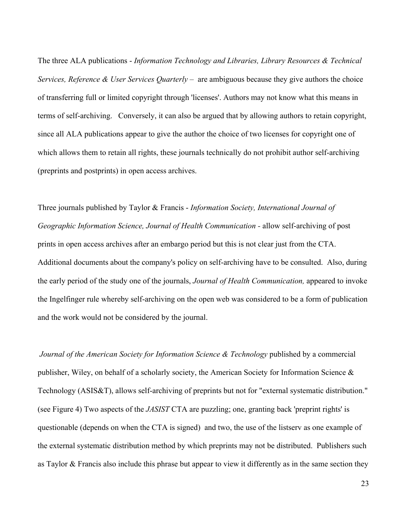The three ALA publications - *Information Technology and Libraries, Library Resources & Technical Services, Reference & User Services Quarterly* – are ambiguous because they give authors the choice of transferring full or limited copyright through 'licenses'. Authors may not know what this means in terms of self-archiving. Conversely, it can also be argued that by allowing authors to retain copyright, since all ALA publications appear to give the author the choice of two licenses for copyright one of which allows them to retain all rights, these journals technically do not prohibit author self-archiving (preprints and postprints) in open access archives.

Three journals published by Taylor & Francis - *Information Society, International Journal of Geographic Information Science, Journal of Health Communication -* allow self-archiving of post prints in open access archives after an embargo period but this is not clear just from the CTA. Additional documents about the company's policy on self-archiving have to be consulted. Also, during the early period of the study one of the journals, *Journal of Health Communication,* appeared to invoke the Ingelfinger rule whereby self-archiving on the open web was considered to be a form of publication and the work would not be considered by the journal.

*Journal of the American Society for Information Science & Technology* published by a commercial publisher, Wiley, on behalf of a scholarly society, the American Society for Information Science & Technology (ASIS&T), allows self-archiving of preprints but not for "external systematic distribution." (see Figure 4) Two aspects of the *JASIST* CTA are puzzling; one, granting back 'preprint rights' is questionable (depends on when the CTA is signed) and two, the use of the listserv as one example of the external systematic distribution method by which preprints may not be distributed. Publishers such as Taylor & Francis also include this phrase but appear to view it differently as in the same section they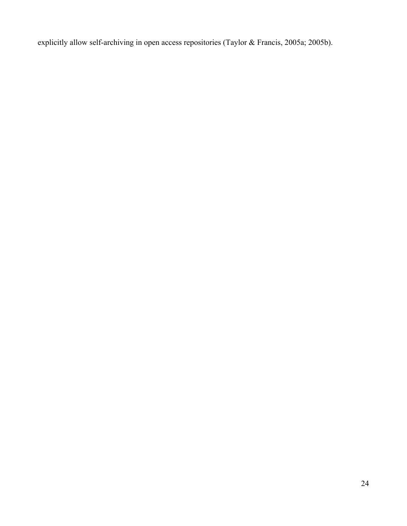explicitly allow self-archiving in open access repositories (Taylor & Francis, 2005a; 2005b).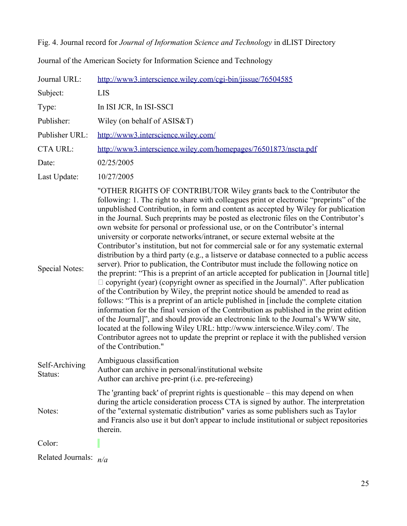Fig. 4. Journal record for *Journal of Information Science and Technology* in dLIST Directory

Journal of the American Society for Information Science and Technology

| Journal URL:              | http://www3.interscience.wiley.com/cgi-bin/jissue/76504585                                                                                                                                                                                                                                                                                                                                                                                                                                                                                                                                                                                                                                                                                                                                                                                                                                                                                                                                                                                                                                                                                                                                                                                                                                                                                                                                                                                                                                                                                                |
|---------------------------|-----------------------------------------------------------------------------------------------------------------------------------------------------------------------------------------------------------------------------------------------------------------------------------------------------------------------------------------------------------------------------------------------------------------------------------------------------------------------------------------------------------------------------------------------------------------------------------------------------------------------------------------------------------------------------------------------------------------------------------------------------------------------------------------------------------------------------------------------------------------------------------------------------------------------------------------------------------------------------------------------------------------------------------------------------------------------------------------------------------------------------------------------------------------------------------------------------------------------------------------------------------------------------------------------------------------------------------------------------------------------------------------------------------------------------------------------------------------------------------------------------------------------------------------------------------|
| Subject:                  | <b>LIS</b>                                                                                                                                                                                                                                                                                                                                                                                                                                                                                                                                                                                                                                                                                                                                                                                                                                                                                                                                                                                                                                                                                                                                                                                                                                                                                                                                                                                                                                                                                                                                                |
| Type:                     | In ISI JCR, In ISI-SSCI                                                                                                                                                                                                                                                                                                                                                                                                                                                                                                                                                                                                                                                                                                                                                                                                                                                                                                                                                                                                                                                                                                                                                                                                                                                                                                                                                                                                                                                                                                                                   |
| Publisher:                | Wiley (on behalf of ASIS&T)                                                                                                                                                                                                                                                                                                                                                                                                                                                                                                                                                                                                                                                                                                                                                                                                                                                                                                                                                                                                                                                                                                                                                                                                                                                                                                                                                                                                                                                                                                                               |
| Publisher URL:            | http://www3.interscience.wiley.com/                                                                                                                                                                                                                                                                                                                                                                                                                                                                                                                                                                                                                                                                                                                                                                                                                                                                                                                                                                                                                                                                                                                                                                                                                                                                                                                                                                                                                                                                                                                       |
| <b>CTA URL:</b>           | http://www3.interscience.wiley.com/homepages/76501873/nscta.pdf                                                                                                                                                                                                                                                                                                                                                                                                                                                                                                                                                                                                                                                                                                                                                                                                                                                                                                                                                                                                                                                                                                                                                                                                                                                                                                                                                                                                                                                                                           |
| Date:                     | 02/25/2005                                                                                                                                                                                                                                                                                                                                                                                                                                                                                                                                                                                                                                                                                                                                                                                                                                                                                                                                                                                                                                                                                                                                                                                                                                                                                                                                                                                                                                                                                                                                                |
| Last Update:              | 10/27/2005                                                                                                                                                                                                                                                                                                                                                                                                                                                                                                                                                                                                                                                                                                                                                                                                                                                                                                                                                                                                                                                                                                                                                                                                                                                                                                                                                                                                                                                                                                                                                |
| Special Notes:            | "OTHER RIGHTS OF CONTRIBUTOR Wiley grants back to the Contributor the<br>following: 1. The right to share with colleagues print or electronic "preprints" of the<br>unpublished Contribution, in form and content as accepted by Wiley for publication<br>in the Journal. Such preprints may be posted as electronic files on the Contributor's<br>own website for personal or professional use, or on the Contributor's internal<br>university or corporate networks/intranet, or secure external website at the<br>Contributor's institution, but not for commercial sale or for any systematic external<br>distribution by a third party (e.g., a listserve or database connected to a public access<br>server). Prior to publication, the Contributor must include the following notice on<br>the preprint: "This is a preprint of an article accepted for publication in [Journal title]<br>$\Box$ copyright (year) (copyright owner as specified in the Journal)". After publication<br>of the Contribution by Wiley, the preprint notice should be amended to read as<br>follows: "This is a preprint of an article published in [include the complete citation<br>information for the final version of the Contribution as published in the print edition<br>of the Journal]", and should provide an electronic link to the Journal's WWW site,<br>located at the following Wiley URL: http://www.interscience.Wiley.com/. The<br>Contributor agrees not to update the preprint or replace it with the published version<br>of the Contribution." |
| Self-Archiving<br>Status: | Ambiguous classification<br>Author can archive in personal/institutional website<br>Author can archive pre-print (i.e. pre-refereeing)                                                                                                                                                                                                                                                                                                                                                                                                                                                                                                                                                                                                                                                                                                                                                                                                                                                                                                                                                                                                                                                                                                                                                                                                                                                                                                                                                                                                                    |
| Notes:                    | The 'granting back' of preprint rights is questionable $-$ this may depend on when<br>during the article consideration process CTA is signed by author. The interpretation<br>of the "external systematic distribution" varies as some publishers such as Taylor<br>and Francis also use it but don't appear to include institutional or subject repositories<br>therein.                                                                                                                                                                                                                                                                                                                                                                                                                                                                                                                                                                                                                                                                                                                                                                                                                                                                                                                                                                                                                                                                                                                                                                                 |
| Color:                    |                                                                                                                                                                                                                                                                                                                                                                                                                                                                                                                                                                                                                                                                                                                                                                                                                                                                                                                                                                                                                                                                                                                                                                                                                                                                                                                                                                                                                                                                                                                                                           |
| Related Journals: $n/a$   |                                                                                                                                                                                                                                                                                                                                                                                                                                                                                                                                                                                                                                                                                                                                                                                                                                                                                                                                                                                                                                                                                                                                                                                                                                                                                                                                                                                                                                                                                                                                                           |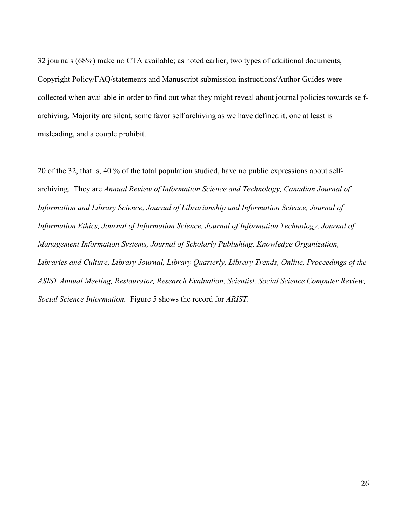32 journals (68%) make no CTA available; as noted earlier, two types of additional documents, Copyright Policy/FAQ/statements and Manuscript submission instructions/Author Guides were collected when available in order to find out what they might reveal about journal policies towards selfarchiving. Majority are silent, some favor self archiving as we have defined it, one at least is misleading, and a couple prohibit.

20 of the 32, that is, 40 % of the total population studied, have no public expressions about selfarchiving. They are *Annual Review of Information Science and Technology, Canadian Journal of Information and Library Science, Journal of Librarianship and Information Science, Journal of Information Ethics, Journal of Information Science, Journal of Information Technology, Journal of Management Information Systems, Journal of Scholarly Publishing, Knowledge Organization, Libraries and Culture, Library Journal, Library Quarterly, Library Trends, Online, Proceedings of the ASIST Annual Meeting, Restaurator, Research Evaluation, Scientist, Social Science Computer Review, Social Science Information.* Figure 5 shows the record for *ARIST*.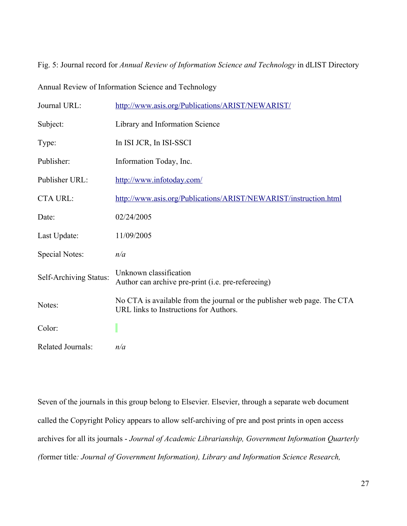Fig. 5: Journal record for *Annual Review of Information Science and Technology* in dLIST Directory

Annual Review of Information Science and Technology

| Journal URL:           | http://www.asis.org/Publications/ARIST/NEWARIST/                                                                  |
|------------------------|-------------------------------------------------------------------------------------------------------------------|
| Subject:               | Library and Information Science                                                                                   |
| Type:                  | In ISI JCR, In ISI-SSCI                                                                                           |
| Publisher:             | Information Today, Inc.                                                                                           |
| Publisher URL:         | http://www.infotoday.com/                                                                                         |
| <b>CTA URL:</b>        | http://www.asis.org/Publications/ARIST/NEWARIST/instruction.html                                                  |
| Date:                  | 02/24/2005                                                                                                        |
| Last Update:           | 11/09/2005                                                                                                        |
| Special Notes:         | n/a                                                                                                               |
| Self-Archiving Status: | Unknown classification<br>Author can archive pre-print (i.e. pre-refereeing)                                      |
| Notes:                 | No CTA is available from the journal or the publisher web page. The CTA<br>URL links to Instructions for Authors. |
| Color:                 |                                                                                                                   |
| Related Journals:      | n/a                                                                                                               |

Seven of the journals in this group belong to Elsevier. Elsevier, through a separate web document called the Copyright Policy appears to allow self-archiving of pre and post prints in open access archives for all its journals - *Journal of Academic Librarianship, Government Information Quarterly (*former title*: Journal of Government Information), Library and Information Science Research,*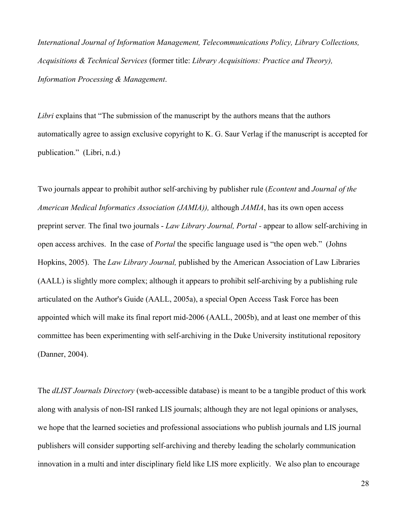*International Journal of Information Management, Telecommunications Policy, Library Collections, Acquisitions & Technical Services* (former title: *Library Acquisitions: Practice and Theory), Information Processing & Management*.

*Libri* explains that "The submission of the manuscript by the authors means that the authors automatically agree to assign exclusive copyright to K. G. Saur Verlag if the manuscript is accepted for publication." (Libri, n.d.)

Two journals appear to prohibit author self-archiving by publisher rule (*Econtent* and *Journal of the American Medical Informatics Association (JAMIA)),* although *JAMIA*, has its own open access preprint server*.* The final two journals - *Law Library Journal, Portal -* appear to allow self-archiving in open access archives. In the case of *Portal* the specific language used is "the open web." (Johns Hopkins, 2005). The *Law Library Journal,* published by the American Association of Law Libraries (AALL) is slightly more complex; although it appears to prohibit self-archiving by a publishing rule articulated on the Author's Guide (AALL, 2005a), a special Open Access Task Force has been appointed which will make its final report mid-2006 (AALL, 2005b), and at least one member of this committee has been experimenting with self-archiving in the Duke University institutional repository (Danner, 2004).

The *dLIST Journals Directory* (web-accessible database) is meant to be a tangible product of this work along with analysis of non-ISI ranked LIS journals; although they are not legal opinions or analyses, we hope that the learned societies and professional associations who publish journals and LIS journal publishers will consider supporting self-archiving and thereby leading the scholarly communication innovation in a multi and inter disciplinary field like LIS more explicitly. We also plan to encourage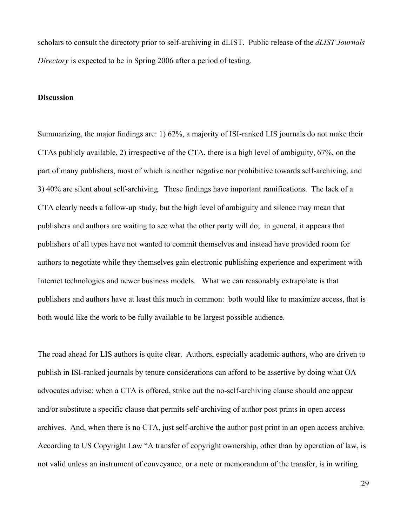scholars to consult the directory prior to self-archiving in dLIST. Public release of the *dLIST Journals Directory* is expected to be in Spring 2006 after a period of testing.

## **Discussion**

Summarizing, the major findings are: 1) 62%, a majority of ISI-ranked LIS journals do not make their CTAs publicly available, 2) irrespective of the CTA, there is a high level of ambiguity, 67%, on the part of many publishers, most of which is neither negative nor prohibitive towards self-archiving, and 3) 40% are silent about self-archiving. These findings have important ramifications. The lack of a CTA clearly needs a follow-up study, but the high level of ambiguity and silence may mean that publishers and authors are waiting to see what the other party will do; in general, it appears that publishers of all types have not wanted to commit themselves and instead have provided room for authors to negotiate while they themselves gain electronic publishing experience and experiment with Internet technologies and newer business models. What we can reasonably extrapolate is that publishers and authors have at least this much in common: both would like to maximize access, that is both would like the work to be fully available to be largest possible audience.

The road ahead for LIS authors is quite clear. Authors, especially academic authors, who are driven to publish in ISI-ranked journals by tenure considerations can afford to be assertive by doing what OA advocates advise: when a CTA is offered, strike out the no-self-archiving clause should one appear and/or substitute a specific clause that permits self-archiving of author post prints in open access archives. And, when there is no CTA, just self-archive the author post print in an open access archive. According to US Copyright Law "A transfer of copyright ownership, other than by operation of law, is not valid unless an instrument of conveyance, or a note or memorandum of the transfer, is in writing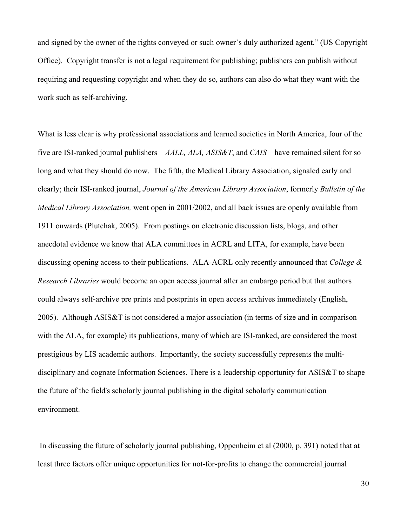and signed by the owner of the rights conveyed or such owner's duly authorized agent." (US Copyright Office). Copyright transfer is not a legal requirement for publishing; publishers can publish without requiring and requesting copyright and when they do so, authors can also do what they want with the work such as self-archiving.

What is less clear is why professional associations and learned societies in North America, four of the five are ISI-ranked journal publishers – *AALL, ALA, ASIS&T*, and *CAIS* – have remained silent for so long and what they should do now. The fifth, the Medical Library Association, signaled early and clearly; their ISI-ranked journal, *Journal of the American Library Association*, formerly *Bulletin of the Medical Library Association,* went open in 2001/2002, and all back issues are openly available from 1911 onwards (Plutchak, 2005). From postings on electronic discussion lists, blogs, and other anecdotal evidence we know that ALA committees in ACRL and LITA, for example, have been discussing opening access to their publications. ALA-ACRL only recently announced that *College & Research Libraries* would become an open access journal after an embargo period but that authors could always self-archive pre prints and postprints in open access archives immediately (English, 2005). Although ASIS&T is not considered a major association (in terms of size and in comparison with the ALA, for example) its publications, many of which are ISI-ranked, are considered the most prestigious by LIS academic authors. Importantly, the society successfully represents the multidisciplinary and cognate Information Sciences. There is a leadership opportunity for ASIS&T to shape the future of the field's scholarly journal publishing in the digital scholarly communication environment.

 In discussing the future of scholarly journal publishing, Oppenheim et al (2000, p. 391) noted that at least three factors offer unique opportunities for not-for-profits to change the commercial journal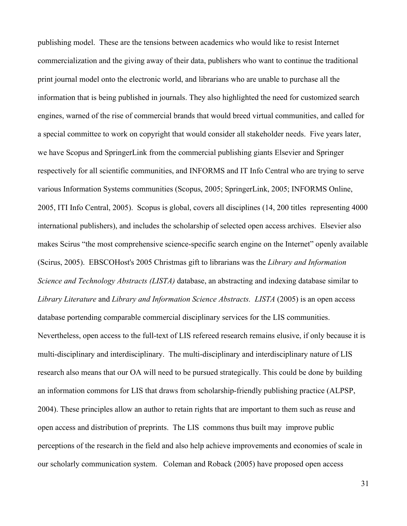publishing model. These are the tensions between academics who would like to resist Internet commercialization and the giving away of their data, publishers who want to continue the traditional print journal model onto the electronic world, and librarians who are unable to purchase all the information that is being published in journals. They also highlighted the need for customized search engines, warned of the rise of commercial brands that would breed virtual communities, and called for a special committee to work on copyright that would consider all stakeholder needs. Five years later, we have Scopus and SpringerLink from the commercial publishing giants Elsevier and Springer respectively for all scientific communities, and INFORMS and IT Info Central who are trying to serve various Information Systems communities (Scopus, 2005; SpringerLink, 2005; INFORMS Online, 2005, ITI Info Central, 2005). Scopus is global, covers all disciplines (14, 200 titles representing 4000 international publishers), and includes the scholarship of selected open access archives. Elsevier also makes Scirus "the most comprehensive science-specific search engine on the Internet" openly available (Scirus, 2005). EBSCOHost's 2005 Christmas gift to librarians was the *Library and Information Science and Technology Abstracts (LISTA)* database, an abstracting and indexing database similar to *Library Literature* and *Library and Information Science Abstracts. LISTA* (2005) is an open access database portending comparable commercial disciplinary services for the LIS communities. Nevertheless, open access to the full-text of LIS refereed research remains elusive, if only because it is multi-disciplinary and interdisciplinary. The multi-disciplinary and interdisciplinary nature of LIS research also means that our OA will need to be pursued strategically. This could be done by building an information commons for LIS that draws from scholarship-friendly publishing practice (ALPSP, 2004). These principles allow an author to retain rights that are important to them such as reuse and open access and distribution of preprints. The LIS commons thus built may improve public perceptions of the research in the field and also help achieve improvements and economies of scale in our scholarly communication system. Coleman and Roback (2005) have proposed open access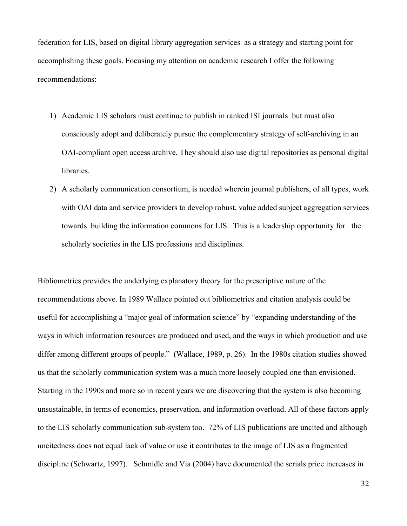federation for LIS, based on digital library aggregation services as a strategy and starting point for accomplishing these goals. Focusing my attention on academic research I offer the following recommendations:

- 1) Academic LIS scholars must continue to publish in ranked ISI journals but must also consciously adopt and deliberately pursue the complementary strategy of self-archiving in an OAI-compliant open access archive. They should also use digital repositories as personal digital libraries.
- 2) A scholarly communication consortium, is needed wherein journal publishers, of all types, work with OAI data and service providers to develop robust, value added subject aggregation services towards building the information commons for LIS. This is a leadership opportunity for the scholarly societies in the LIS professions and disciplines.

Bibliometrics provides the underlying explanatory theory for the prescriptive nature of the recommendations above. In 1989 Wallace pointed out bibliometrics and citation analysis could be useful for accomplishing a "major goal of information science" by "expanding understanding of the ways in which information resources are produced and used, and the ways in which production and use differ among different groups of people." (Wallace, 1989, p. 26). In the 1980s citation studies showed us that the scholarly communication system was a much more loosely coupled one than envisioned. Starting in the 1990s and more so in recent years we are discovering that the system is also becoming unsustainable, in terms of economics, preservation, and information overload. All of these factors apply to the LIS scholarly communication sub-system too. 72% of LIS publications are uncited and although uncitedness does not equal lack of value or use it contributes to the image of LIS as a fragmented discipline (Schwartz, 1997). Schmidle and Via (2004) have documented the serials price increases in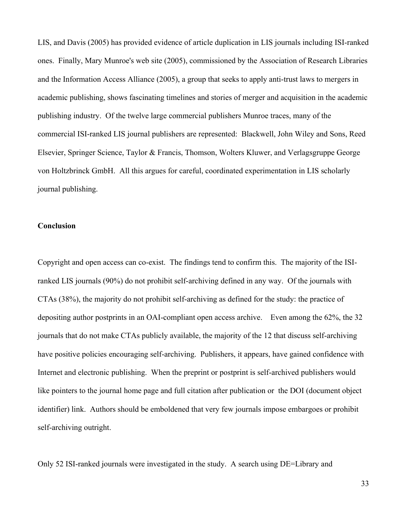LIS, and Davis (2005) has provided evidence of article duplication in LIS journals including ISI-ranked ones. Finally, Mary Munroe's web site (2005), commissioned by the Association of Research Libraries and the Information Access Alliance (2005), a group that seeks to apply anti-trust laws to mergers in academic publishing, shows fascinating timelines and stories of merger and acquisition in the academic publishing industry. Of the twelve large commercial publishers Munroe traces, many of the commercial ISI-ranked LIS journal publishers are represented: Blackwell, John Wiley and Sons, Reed Elsevier, Springer Science, Taylor & Francis, Thomson, Wolters Kluwer, and Verlagsgruppe George von Holtzbrinck GmbH. All this argues for careful, coordinated experimentation in LIS scholarly journal publishing.

## **Conclusion**

Copyright and open access can co-exist. The findings tend to confirm this. The majority of the ISIranked LIS journals (90%) do not prohibit self-archiving defined in any way. Of the journals with CTAs (38%), the majority do not prohibit self-archiving as defined for the study: the practice of depositing author postprints in an OAI-compliant open access archive. Even among the 62%, the 32 journals that do not make CTAs publicly available, the majority of the 12 that discuss self-archiving have positive policies encouraging self-archiving. Publishers, it appears, have gained confidence with Internet and electronic publishing. When the preprint or postprint is self-archived publishers would like pointers to the journal home page and full citation after publication or the DOI (document object identifier) link. Authors should be emboldened that very few journals impose embargoes or prohibit self-archiving outright.

Only 52 ISI-ranked journals were investigated in the study. A search using DE=Library and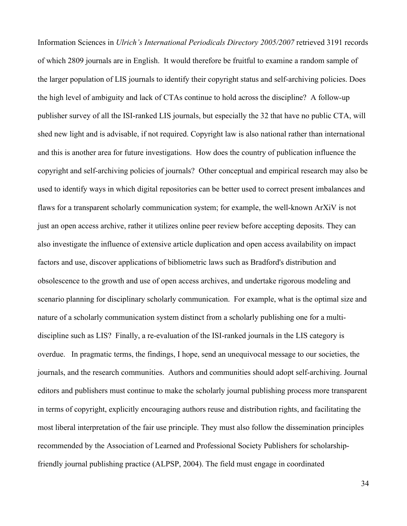Information Sciences in *Ulrich's International Periodicals Directory 2005/2007* retrieved 3191 records of which 2809 journals are in English. It would therefore be fruitful to examine a random sample of the larger population of LIS journals to identify their copyright status and self-archiving policies. Does the high level of ambiguity and lack of CTAs continue to hold across the discipline? A follow-up publisher survey of all the ISI-ranked LIS journals, but especially the 32 that have no public CTA, will shed new light and is advisable, if not required. Copyright law is also national rather than international and this is another area for future investigations. How does the country of publication influence the copyright and self-archiving policies of journals? Other conceptual and empirical research may also be used to identify ways in which digital repositories can be better used to correct present imbalances and flaws for a transparent scholarly communication system; for example, the well-known ArXiV is not just an open access archive, rather it utilizes online peer review before accepting deposits. They can also investigate the influence of extensive article duplication and open access availability on impact factors and use, discover applications of bibliometric laws such as Bradford's distribution and obsolescence to the growth and use of open access archives, and undertake rigorous modeling and scenario planning for disciplinary scholarly communication. For example, what is the optimal size and nature of a scholarly communication system distinct from a scholarly publishing one for a multidiscipline such as LIS? Finally, a re-evaluation of the ISI-ranked journals in the LIS category is overdue. In pragmatic terms, the findings, I hope, send an unequivocal message to our societies, the journals, and the research communities. Authors and communities should adopt self-archiving. Journal editors and publishers must continue to make the scholarly journal publishing process more transparent in terms of copyright, explicitly encouraging authors reuse and distribution rights, and facilitating the most liberal interpretation of the fair use principle. They must also follow the dissemination principles recommended by the Association of Learned and Professional Society Publishers for scholarshipfriendly journal publishing practice (ALPSP, 2004). The field must engage in coordinated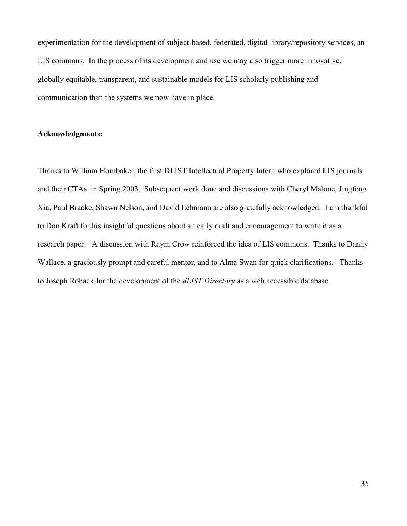experimentation for the development of subject-based, federated, digital library/repository services, an LIS commons. In the process of its development and use we may also trigger more innovative, globally equitable, transparent, and sustainable models for LIS scholarly publishing and communication than the systems we now have in place.

#### **Acknowledgments:**

Thanks to William Hornbaker, the first DLIST Intellectual Property Intern who explored LIS journals and their CTAs in Spring 2003. Subsequent work done and discussions with Cheryl Malone, Jingfeng Xia, Paul Bracke, Shawn Nelson, and David Lehmann are also gratefully acknowledged. I am thankful to Don Kraft for his insightful questions about an early draft and encouragement to write it as a research paper. A discussion with Raym Crow reinforced the idea of LIS commons. Thanks to Danny Wallace, a graciously prompt and careful mentor, and to Alma Swan for quick clarifications. Thanks to Joseph Roback for the development of the *dLIST Directory* as a web accessible database.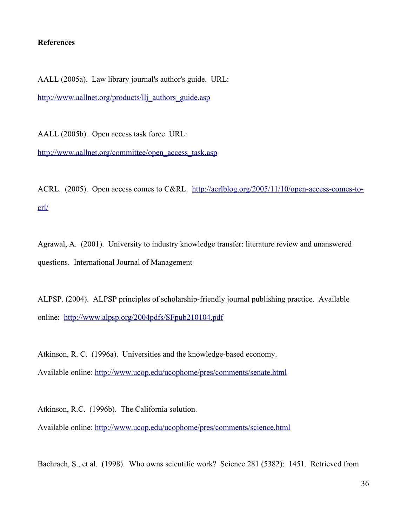## **References**

AALL (2005a). Law library journal's author's guide. URL: [http://www.aallnet.org/products/llj\\_authors\\_guide.asp](http://www.aallnet.org/products/llj_authors_guide.asp)

AALL (2005b). Open access task force URL: [http://www.aallnet.org/committee/open\\_access\\_task.asp](http://www.aallnet.org/committee/open_access_task.asp)

ACRL. (2005). Open access comes to C&RL. [http://acrlblog.org/2005/11/10/open-access-comes-to](http://acrlblog.org/2005/11/10/open-access-comes-to-crl/)[crl/](http://acrlblog.org/2005/11/10/open-access-comes-to-crl/)

Agrawal, A. (2001). University to industry knowledge transfer: literature review and unanswered questions. International Journal of Management

ALPSP. (2004). ALPSP principles of scholarship-friendly journal publishing practice. Available online: <http://www.alpsp.org/2004pdfs/SFpub210104.pdf>

Atkinson, R. C. (1996a). Universities and the knowledge-based economy. Available online: <http://www.ucop.edu/ucophome/pres/comments/senate.html>

Atkinson, R.C. (1996b). The California solution.

Available online: <http://www.ucop.edu/ucophome/pres/comments/science.html>

Bachrach, S., et al. (1998). Who owns scientific work? Science 281 (5382): 1451. Retrieved from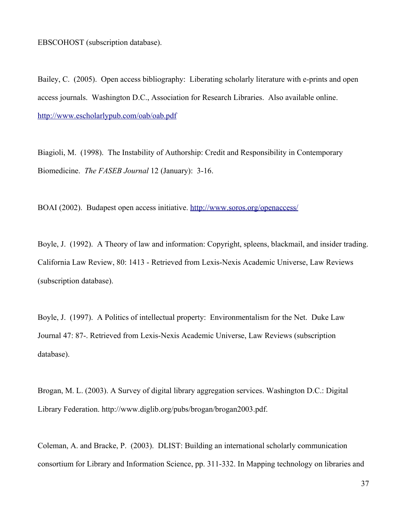Bailey, C. (2005). Open access bibliography: Liberating scholarly literature with e-prints and open access journals. Washington D.C., Association for Research Libraries. Also available online. <http://www.escholarlypub.com/oab/oab.pdf>

Biagioli, M. (1998). The Instability of Authorship: Credit and Responsibility in Contemporary Biomedicine. *The FASEB Journal* 12 (January): 3-16.

BOAI (2002). Budapest open access initiative.<http://www.soros.org/openaccess/>

Boyle, J. (1992). A Theory of law and information: Copyright, spleens, blackmail, and insider trading. California Law Review, 80: 1413 - Retrieved from Lexis-Nexis Academic Universe, Law Reviews (subscription database).

Boyle, J. (1997). A Politics of intellectual property: Environmentalism for the Net. Duke Law Journal 47: 87-. Retrieved from Lexis-Nexis Academic Universe, Law Reviews (subscription database).

Brogan, M. L. (2003). A Survey of digital library aggregation services. Washington D.C.: Digital Library Federation. http://www.diglib.org/pubs/brogan/brogan2003.pdf.

Coleman, A. and Bracke, P. (2003). DLIST: Building an international scholarly communication consortium for Library and Information Science, pp. 311-332. In Mapping technology on libraries and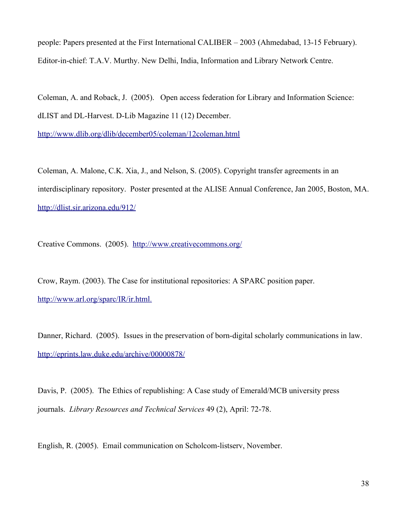people: Papers presented at the First International CALIBER – 2003 (Ahmedabad, 13-15 February). Editor-in-chief: T.A.V. Murthy. New Delhi, India, Information and Library Network Centre.

Coleman, A. and Roback, J. (2005). Open access federation for Library and Information Science: dLIST and DL-Harvest. D-Lib Magazine 11 (12) December.

<http://www.dlib.org/dlib/december05/coleman/12coleman.html>

Coleman, A. Malone, C.K. Xia, J., and Nelson, S. (2005). Copyright transfer agreements in an interdisciplinary repository. Poster presented at the ALISE Annual Conference, Jan 2005, Boston, MA. <http://dlist.sir.arizona.edu/912/>

Creative Commons. (2005). <http://www.creativecommons.org/>

Crow, Raym. (2003). The Case for institutional repositories: A SPARC position paper. [http://www.arl.org/sparc/IR/ir.html.](http://www.arl.org/sparc/IR/ir.html)

Danner, Richard. (2005). Issues in the preservation of born-digital scholarly communications in law. <http://eprints.law.duke.edu/archive/00000878/>

Davis, P. (2005). The Ethics of republishing: A Case study of Emerald/MCB university press journals. *Library Resources and Technical Services* 49 (2), April: 72-78.

English, R. (2005). Email communication on Scholcom-listserv, November.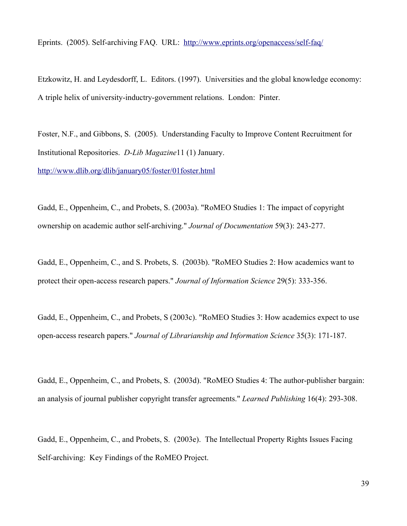Eprints. (2005). Self-archiving FAQ. URL: <http://www.eprints.org/openaccess/self-faq/>

Etzkowitz, H. and Leydesdorff, L. Editors. (1997). Universities and the global knowledge economy: A triple helix of university-inductry-government relations. London: Pinter.

Foster, N.F., and Gibbons, S. (2005). Understanding Faculty to Improve Content Recruitment for Institutional Repositories. *D-Lib Magazine*11 (1) January.

<http://www.dlib.org/dlib/january05/foster/01foster.html>

Gadd, E., Oppenheim, C., and Probets, S. (2003a). "RoMEO Studies 1: The impact of copyright ownership on academic author self-archiving." *Journal of Documentation* 59(3): 243-277.

Gadd, E., Oppenheim, C., and S. Probets, S. (2003b). "RoMEO Studies 2: How academics want to protect their open-access research papers." *Journal of Information Science* 29(5): 333-356.

Gadd, E., Oppenheim, C., and Probets, S (2003c). "RoMEO Studies 3: How academics expect to use open-access research papers." *Journal of Librarianship and Information Science* 35(3): 171-187.

Gadd, E., Oppenheim, C., and Probets, S. (2003d). "RoMEO Studies 4: The author-publisher bargain: an analysis of journal publisher copyright transfer agreements." *Learned Publishing* 16(4): 293-308.

Gadd, E., Oppenheim, C., and Probets, S. (2003e). The Intellectual Property Rights Issues Facing Self-archiving: Key Findings of the RoMEO Project.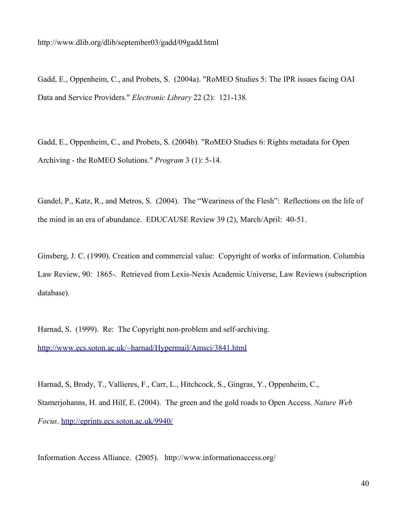<http://www.dlib.org/dlib/september03/gadd/09gadd.html>

Gadd, E., Oppenheim, C., and Probets, S. (2004a). "RoMEO Studies 5: The IPR issues facing OAI Data and Service Providers." *Electronic Library* 22 (2): 121-138*.*

Gadd, E., Oppenheim, C., and Probets, S. (2004b). "RoMEO Studies 6: Rights metadata for Open Archiving - the RoMEO Solutions." *Program* 3 (1): 5-14.

Gandel, P., Katz, R., and Metros, S. (2004). The "Weariness of the Flesh": Reflections on the life of the mind in an era of abundance. EDUCAUSE Review 39 (2), March/April: 40-51.

Ginsberg, J. C. (1990). Creation and commercial value: Copyright of works of information. Columbia Law Review, 90: 1865-. Retrieved from Lexis-Nexis Academic Universe, Law Reviews (subscription database).

Harnad, S. (1999). Re: The Copyright non-problem and self-archiving. <http://www.ecs.soton.ac.uk/~harnad/Hypermail/Amsci/3841.html>

Harnad, S, Brody, T., Vallieres, F., Carr, L., Hitchcock, S., Gingras, Y., Oppenheim, C., Stamerjohanns, H. and Hilf, E. (2004). The green and the gold roads to Open Access. *Nature Web Focus*.<http://eprints.ecs.soton.ac.uk/9940/>

Information Access Alliance. (2005). http://www.informationaccess.org/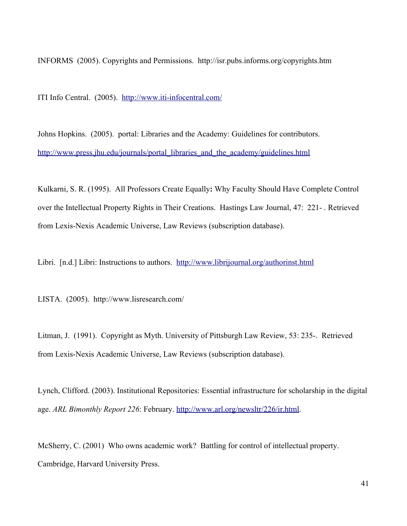INFORMS (2005). Copyrights and Permissions. http://isr.pubs.informs.org/copyrights.htm

ITI Info Central. (2005). <http://www.iti-infocentral.com/>

Johns Hopkins. (2005). portal: Libraries and the Academy: Guidelines for contributors. [http://www.press.jhu.edu/journals/portal\\_libraries\\_and\\_the\\_academy/guidelines.html](http://www.press.jhu.edu/journals/portal_libraries_and_the_academy/guidelines.html)

Kulkarni, S. R. (1995). All Professors Create Equally**:** Why Faculty Should Have Complete Control over the Intellectual Property Rights in Their Creations. Hastings Law Journal, 47: 221- . Retrieved from Lexis-Nexis Academic Universe, Law Reviews (subscription database).

Libri. [n.d.] Libri: Instructions to authors. <http://www.librijournal.org/authorinst.html>

LISTA. (2005). http://www.lisresearch.com/

Litman, J. (1991). Copyright as Myth. University of Pittsburgh Law Review, 53: 235-. Retrieved from Lexis-Nexis Academic Universe, Law Reviews (subscription database).

Lynch, Clifford. (2003). Institutional Repositories: Essential infrastructure for scholarship in the digital age. *ARL Bimonthly Report 226*: February.<http://www.arl.org/newsltr/226/ir.html>.

McSherry, C. (2001) Who owns academic work? Battling for control of intellectual property. Cambridge, Harvard University Press.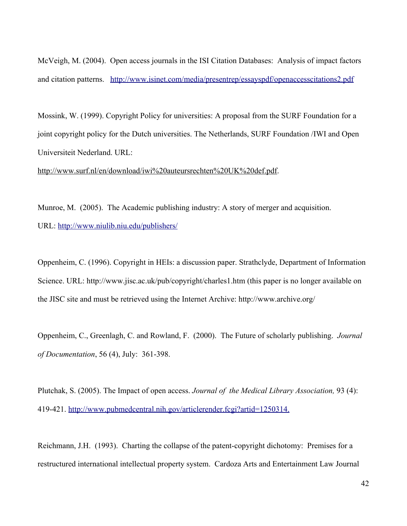McVeigh, M. (2004). Open access journals in the ISI Citation Databases: Analysis of impact factors and citation patterns. <http://www.isinet.com/media/presentrep/essayspdf/openaccesscitations2.pdf>

Mossink, W. (1999). Copyright Policy for universities: A proposal from the SURF Foundation for a joint copyright policy for the Dutch universities. The Netherlands, SURF Foundation /IWI and Open Universiteit Nederland. URL:

http://www.surf.nl/en/download/iwi%20auteursrechten%20UK%20def.pdf.

Munroe, M. (2005). The Academic publishing industry: A story of merger and acquisition. URL: <http://www.niulib.niu.edu/publishers/>

Oppenheim, C. (1996). Copyright in HEIs: a discussion paper. Strathclyde, Department of Information Science. URL: http://www.jisc.ac.uk/pub/copyright/charles1.htm (this paper is no longer available on the JISC site and must be retrieved using the Internet Archive: http://www.archive.org/

Oppenheim, C., Greenlagh, C. and Rowland, F. (2000). The Future of scholarly publishing. *Journal of Documentation*, 56 (4), July: 361-398.

Plutchak, S. (2005). The Impact of open access. *Journal of the Medical Library Association,* 93 (4): 419-421. [http://www.pubmedcentral.nih.gov/articlerender.fcgi?artid=1250314.](http://www.pubmedcentral.nih.gov/articlerender.fcgi?artid=1250314)

Reichmann, J.H. (1993). Charting the collapse of the patent-copyright dichotomy: Premises for a restructured international intellectual property system. Cardoza Arts and Entertainment Law Journal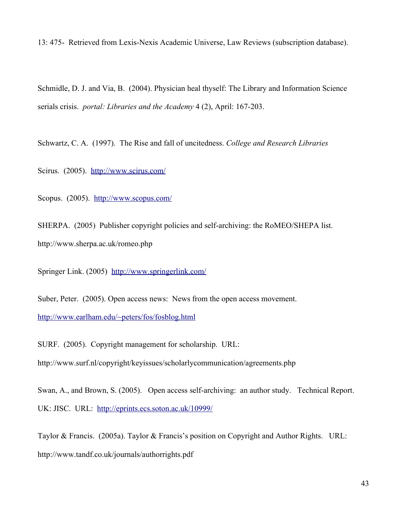13: 475- Retrieved from Lexis-Nexis Academic Universe, Law Reviews (subscription database).

Schmidle, D. J. and Via, B. (2004). Physician heal thyself: The Library and Information Science serials crisis. *portal: Libraries and the Academy* 4 (2), April: 167-203.

Schwartz, C. A. (1997). The Rise and fall of uncitedness. *College and Research Libraries*

Scirus. (2005). <http://www.scirus.com/>

Scopus. (2005). <http://www.scopus.com/>

SHERPA. (2005) Publisher copyright policies and self-archiving: the RoMEO/SHEPA list. http://www.sherpa.ac.uk/romeo.php

Springer Link. (2005) <http://www.springerlink.com/>

Suber, Peter. (2005). Open access news: News from the open access movement. <http://www.earlham.edu/~peters/fos/fosblog.html>

SURF. (2005). Copyright management for scholarship. URL: http://www.surf.nl/copyright/keyissues/scholarlycommunication/agreements.php

Swan, A., and Brown, S. (2005). Open access self-archiving: an author study. Technical Report. UK: JISC. URL: <http://eprints.ecs.soton.ac.uk/10999/>

Taylor & Francis. (2005a). Taylor & Francis's position on Copyright and Author Rights. URL: http://www.tandf.co.uk/journals/authorrights.pdf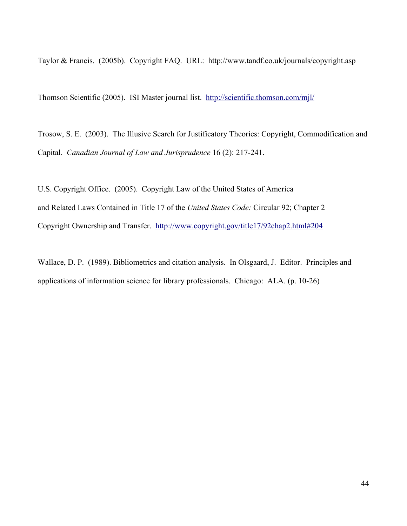Taylor & Francis. (2005b). Copyright FAQ. URL: http://www.tandf.co.uk/journals/copyright.asp

Thomson Scientific (2005). ISI Master journal list. <http://scientific.thomson.com/mjl/>

Trosow, S. E. (2003). The Illusive Search for Justificatory Theories: Copyright, Commodification and Capital. *Canadian Journal of Law and Jurisprudence* 16 (2): 217-241.

U.S. Copyright Office. (2005). Copyright Law of the United States of America and Related Laws Contained in Title 17 of the *United States Code:* Circular 92; Chapter 2 Copyright Ownership and Transfer. <http://www.copyright.gov/title17/92chap2.html#204>

Wallace, D. P. (1989). Bibliometrics and citation analysis. In Olsgaard, J. Editor. Principles and applications of information science for library professionals. Chicago: ALA. (p. 10-26)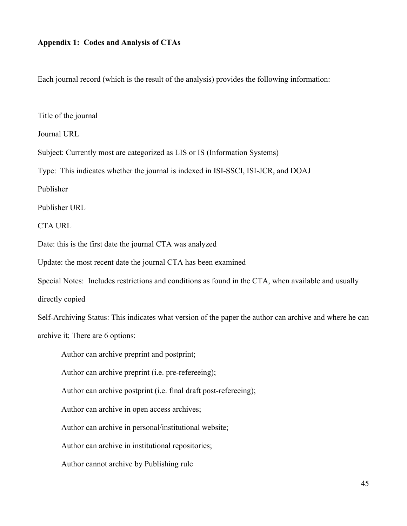## **Appendix 1: Codes and Analysis of CTAs**

Each journal record (which is the result of the analysis) provides the following information:

Title of the journal

Journal URL

Subject: Currently most are categorized as LIS or IS (Information Systems)

Type: This indicates whether the journal is indexed in ISI-SSCI, ISI-JCR, and DOAJ

Publisher

Publisher URL

CTA URL

Date: this is the first date the journal CTA was analyzed

Update: the most recent date the journal CTA has been examined

Special Notes: Includes restrictions and conditions as found in the CTA, when available and usually

directly copied

Self-Archiving Status: This indicates what version of the paper the author can archive and where he can archive it; There are 6 options:

Author can archive preprint and postprint;

Author can archive preprint (i.e. pre-refereeing);

Author can archive postprint (i.e. final draft post-refereeing);

Author can archive in open access archives;

Author can archive in personal/institutional website;

Author can archive in institutional repositories;

Author cannot archive by Publishing rule